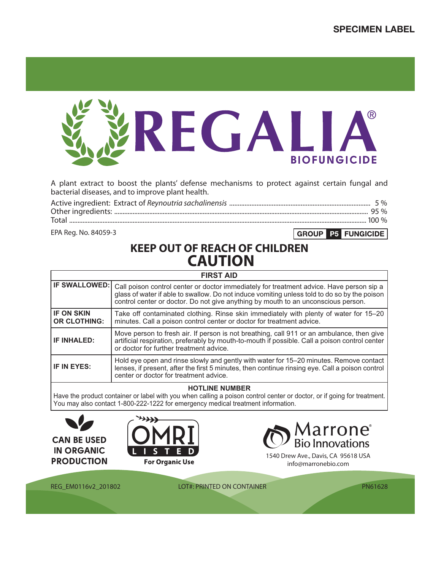

A plant extract to boost the plants' defense mechanisms to protect against certain fungal and bacterial diseases, and to improve plant health.

EPA Reg. No. 84059-3

GROUP P5 FUNGICIDE

# **KEEP OUT OF REACH OF CHILDREN CAUTION**

| <b>FIRST AID</b>                         |                                                                                                                                                                                                                                                                               |  |  |  |  |
|------------------------------------------|-------------------------------------------------------------------------------------------------------------------------------------------------------------------------------------------------------------------------------------------------------------------------------|--|--|--|--|
| <b>IF SWALLOWED:</b>                     | Call poison control center or doctor immediately for treatment advice. Have person sip a<br>glass of water if able to swallow. Do not induce vomiting unless told to do so by the poison<br>control center or doctor. Do not give anything by mouth to an unconscious person. |  |  |  |  |
| <b>IF ON SKIN</b><br><b>OR CLOTHING:</b> | Take off contaminated clothing. Rinse skin immediately with plenty of water for 15–20<br>minutes. Call a poison control center or doctor for treatment advice.                                                                                                                |  |  |  |  |
| <b>IF INHALED:</b>                       | Move person to fresh air. If person is not breathing, call 911 or an ambulance, then give<br>artificial respiration, preferably by mouth-to-mouth if possible. Call a poison control center<br>or doctor for further treatment advice.                                        |  |  |  |  |
| <b>IF IN EYES:</b>                       | Hold eye open and rinse slowly and gently with water for 15–20 minutes. Remove contact<br>lenses, if present, after the first 5 minutes, then continue rinsing eye. Call a poison control<br>center or doctor for treatment advice.                                           |  |  |  |  |

## **HOTLINE NUMBER**

Have the product container or label with you when calling a poison control center or doctor, or if going for treatment. You may also contact 1-800-222-1222 for emergency medical treatment information.







1540 Drew Ave., Davis, CA 95618 USA info@marronebio.com

REG\_EM0116v2\_201802 LOT#: PRINTED ON CONTAINER

PN61628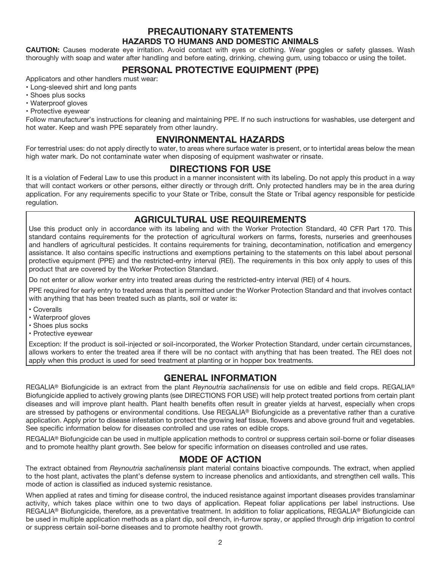## **PRECAUTIONARY STATEMENTS HAZARDS TO HUMANS AND DOMESTIC ANIMALS**

**CAUTION:** Causes moderate eye irritation. Avoid contact with eyes or clothing. Wear goggles or safety glasses. Wash thoroughly with soap and water after handling and before eating, drinking, chewing gum, using tobacco or using the toilet.

# **PERSONAL PROTECTIVE EQUIPMENT (PPE)**

Applicators and other handlers must wear:

- Long-sleeved shirt and long pants • Shoes plus socks
- Waterproof gloves
- Protective eyewear

Follow manufacturer's instructions for cleaning and maintaining PPE. If no such instructions for washables, use detergent and hot water. Keep and wash PPE separately from other laundry.

# **ENVIRONMENTAL HAZARDS**

For terrestrial uses: do not apply directly to water, to areas where surface water is present, or to intertidal areas below the mean high water mark. Do not contaminate water when disposing of equipment washwater or rinsate.

## **DIRECTIONS FOR USE**

It is a violation of Federal Law to use this product in a manner inconsistent with its labeling. Do not apply this product in a way that will contact workers or other persons, either directly or through drift. Only protected handlers may be in the area during application. For any requirements specific to your State or Tribe, consult the State or Tribal agency responsible for pesticide regulation.

# **AGRICULTURAL USE REQUIREMENTS**

Use this product only in accordance with its labeling and with the Worker Protection Standard, 40 CFR Part 170. This standard contains requirements for the protection of agricultural workers on farms, forests, nurseries and greenhouses and handlers of agricultural pesticides. It contains requirements for training, decontamination, notification and emergency assistance. It also contains specific instructions and exemptions pertaining to the statements on this label about personal protective equipment (PPE) and the restricted-entry interval (REI). The requirements in this box only apply to uses of this product that are covered by the Worker Protection Standard.

Do not enter or allow worker entry into treated areas during the restricted-entry interval (REI) of 4 hours.

PPE required for early entry to treated areas that is permitted under the Worker Protection Standard and that involves contact with anything that has been treated such as plants, soil or water is:

- Coveralls
- Waterproof gloves
- Shoes plus socks
- Protective eyewear

Exception: If the product is soil-injected or soil-incorporated, the Worker Protection Standard, under certain circumstances, allows workers to enter the treated area if there will be no contact with anything that has been treated. The REI does not apply when this product is used for seed treatment at planting or in hopper box treatments.

# **GENERAL INFORMATION**

REGALIA® Biofungicide is an extract from the plant *Reynoutria sachalinensis* for use on edible and field crops. REGALIA® Biofungicide applied to actively growing plants (see DIRECTIONS FOR USE) will help protect treated portions from certain plant diseases and will improve plant health. Plant health benefits often result in greater yields at harvest, especially when crops are stressed by pathogens or environmental conditions. Use REGALIA® Biofungicide as a preventative rather than a curative application. Apply prior to disease infestation to protect the growing leaf tissue, flowers and above ground fruit and vegetables. See specific information below for diseases controlled and use rates on edible crops.

REGALIA® Biofungicide can be used in multiple application methods to control or suppress certain soil-borne or foliar diseases and to promote healthy plant growth. See below for specific information on diseases controlled and use rates.

# **MODE OF ACTION**

The extract obtained from *Reynoutria sachalinensis* plant material contains bioactive compounds. The extract, when applied to the host plant, activates the plant's defense system to increase phenolics and antioxidants, and strengthen cell walls. This mode of action is classified as induced systemic resistance.

When applied at rates and timing for disease control, the induced resistance against important diseases provides translaminar activity, which takes place within one to two days of application. Repeat foliar applications per label instructions. Use REGALIA® Biofungicide, therefore, as a preventative treatment. In addition to foliar applications, REGALIA® Biofungicide can be used in multiple application methods as a plant dip, soil drench, in-furrow spray, or applied through drip irrigation to control or suppress certain soil-borne diseases and to promote healthy root growth.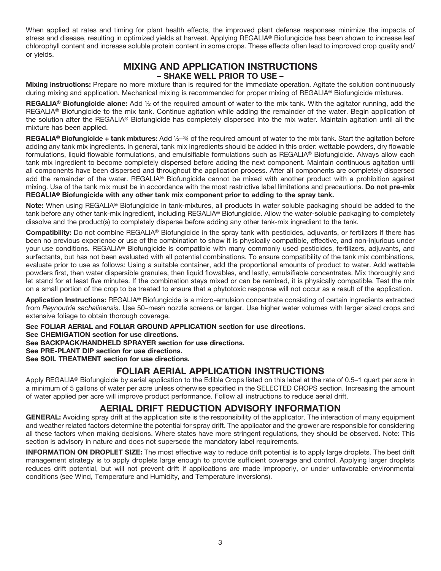When applied at rates and timing for plant health effects, the improved plant defense responses minimize the impacts of stress and disease, resulting in optimized yields at harvest. Applying REGALIA® Biofungicide has been shown to increase leaf chlorophyll content and increase soluble protein content in some crops. These effects often lead to improved crop quality and/ or yields.

## **MIXING AND APPLICATION INSTRUCTIONS – SHAKE WELL PRIOR TO USE –**

**Mixing instructions:** Prepare no more mixture than is required for the immediate operation. Agitate the solution continuously during mixing and application. Mechanical mixing is recommended for proper mixing of REGALIA® Biofungicide mixtures.

**REGALIA® Biofungicide alone:** Add ½ of the required amount of water to the mix tank. With the agitator running, add the REGALIA® Biofungicide to the mix tank. Continue agitation while adding the remainder of the water. Begin application of the solution after the REGALIA® Biofungicide has completely dispersed into the mix water. Maintain agitation until all the mixture has been applied.

**REGALIA® Biofungicide + tank mixtures:** Add ½–¾ of the required amount of water to the mix tank. Start the agitation before adding any tank mix ingredients. In general, tank mix ingredients should be added in this order: wettable powders, dry flowable formulations, liquid flowable formulations, and emulsifiable formulations such as REGALIA® Biofungicide. Always allow each tank mix ingredient to become completely dispersed before adding the next component. Maintain continuous agitation until all components have been dispersed and throughout the application process. After all components are completely dispersed add the remainder of the water. REGALIA® Biofungicide cannot be mixed with another product with a prohibition against mixing. Use of the tank mix must be in accordance with the most restrictive label limitations and precautions. **Do not pre-mix REGALIA® Biofungicide with any other tank mix component prior to adding to the spray tank.**

**Note:** When using REGALIA® Biofungicide in tank-mixtures, all products in water soluble packaging should be added to the tank before any other tank-mix ingredient, including REGALIA® Biofungicide. Allow the water-soluble packaging to completely dissolve and the product(s) to completely disperse before adding any other tank-mix ingredient to the tank.

**Compatibility:** Do not combine REGALIA® Biofungicide in the spray tank with pesticides, adjuvants, or fertilizers if there has been no previous experience or use of the combination to show it is physically compatible, effective, and non-injurious under your use conditions. REGALIA® Biofungicide is compatible with many commonly used pesticides, fertilizers, adjuvants, and surfactants, but has not been evaluated with all potential combinations. To ensure compatibility of the tank mix combinations, evaluate prior to use as follows: Using a suitable container, add the proportional amounts of product to water. Add wettable powders first, then water dispersible granules, then liquid flowables, and lastly, emulsifiable concentrates. Mix thoroughly and let stand for at least five minutes. If the combination stays mixed or can be remixed, it is physically compatible. Test the mix on a small portion of the crop to be treated to ensure that a phytotoxic response will not occur as a result of the application.

**Application Instructions:** REGALIA® Biofungicide is a micro-emulsion concentrate consisting of certain ingredients extracted from *Reynoutria sachalinensis*. Use 50–mesh nozzle screens or larger. Use higher water volumes with larger sized crops and extensive foliage to obtain thorough coverage.

**See FOLIAR AERIAL and FOLIAR GROUND APPLICATION section for use directions.**

**See CHEMIGATION section for use directions.**

**See BACKPACK/HANDHELD SPRAYER section for use directions.**

**See PRE-PLANT DIP section for use directions.**

**See SOIL TREATMENT section for use directions.**

# **FOLIAR AERIAL APPLICATION INSTRUCTIONS**

Apply REGALIA® Biofungicide by aerial application to the Edible Crops listed on this label at the rate of 0.5–1 quart per acre in a minimum of 5 gallons of water per acre unless otherwise specified in the SELECTED CROPS section. Increasing the amount of water applied per acre will improve product performance. Follow all instructions to reduce aerial drift.

# **AERIAL DRIFT REDUCTION ADVISORY INFORMATION**

GENERAL: Avoiding spray drift at the application site is the responsibility of the applicator. The interaction of many equipment and weather related factors determine the potential for spray drift. The applicator and the grower are responsible for considering all these factors when making decisions. Where states have more stringent regulations, they should be observed. Note: This section is advisory in nature and does not supersede the mandatory label requirements.

**INFORMATION ON DROPLET SIZE:** The most effective way to reduce drift potential is to apply large droplets. The best drift management strategy is to apply droplets large enough to provide sufficient coverage and control. Applying larger droplets reduces drift potential, but will not prevent drift if applications are made improperly, or under unfavorable environmental conditions (see Wind, Temperature and Humidity, and Temperature Inversions).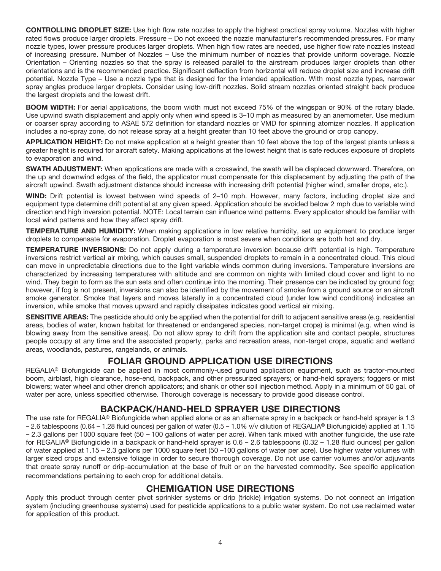**CONTROLLING DROPLET SIZE:** Use high flow rate nozzles to apply the highest practical spray volume. Nozzles with higher rated flows produce larger droplets. Pressure – Do not exceed the nozzle manufacturer's recommended pressures. For many nozzle types, lower pressure produces larger droplets. When high flow rates are needed, use higher flow rate nozzles instead of increasing pressure. Number of Nozzles – Use the minimum number of nozzles that provide uniform coverage. Nozzle Orientation – Orienting nozzles so that the spray is released parallel to the airstream produces larger droplets than other orientations and is the recommended practice. Significant deflection from horizontal will reduce droplet size and increase drift potential. Nozzle Type – Use a nozzle type that is designed for the intended application. With most nozzle types, narrower spray angles produce larger droplets. Consider using low-drift nozzles. Solid stream nozzles oriented straight back produce the largest droplets and the lowest drift.

**BOOM WIDTH:** For aerial applications, the boom width must not exceed 75% of the wingspan or 90% of the rotary blade. Use upwind swath displacement and apply only when wind speed is 3–10 mph as measured by an anemometer. Use medium or coarser spray according to ASAE 572 definition for standard nozzles or VMD for spinning atomizer nozzles. If application includes a no-spray zone, do not release spray at a height greater than 10 feet above the ground or crop canopy.

**APPLICATION HEIGHT:** Do not make application at a height greater than 10 feet above the top of the largest plants unless a greater height is required for aircraft safety. Making applications at the lowest height that is safe reduces exposure of droplets to evaporation and wind.

**SWATH ADJUSTMENT:** When applications are made with a crosswind, the swath will be displaced downward. Therefore, on the up and downwind edges of the field, the applicator must compensate for this displacement by adjusting the path of the aircraft upwind. Swath adjustment distance should increase with increasing drift potential (higher wind, smaller drops, etc.).

**WIND:** Drift potential is lowest between wind speeds of 2–10 mph. However, many factors, including droplet size and equipment type determine drift potential at any given speed. Application should be avoided below 2 mph due to variable wind direction and high inversion potential. NOTE: Local terrain can influence wind patterns. Every applicator should be familiar with local wind patterns and how they affect spray drift.

**TEMPERATURE AND HUMIDITY:** When making applications in low relative humidity, set up equipment to produce larger droplets to compensate for evaporation. Droplet evaporation is most severe when conditions are both hot and dry.

**TEMPERATURE INVERSIONS:** Do not apply during a temperature inversion because drift potential is high. Temperature inversions restrict vertical air mixing, which causes small, suspended droplets to remain in a concentrated cloud. This cloud can move in unpredictable directions due to the light variable winds common during inversions. Temperature inversions are characterized by increasing temperatures with altitude and are common on nights with limited cloud cover and light to no wind. They begin to form as the sun sets and often continue into the morning. Their presence can be indicated by ground fog; however, if fog is not present, inversions can also be identified by the movement of smoke from a ground source or an aircraft smoke generator. Smoke that layers and moves laterally in a concentrated cloud (under low wind conditions) indicates an inversion, while smoke that moves upward and rapidly dissipates indicates good vertical air mixing.

**SENSITIVE AREAS:** The pesticide should only be applied when the potential for drift to adjacent sensitive areas (e.g. residential areas, bodies of water, known habitat for threatened or endangered species, non-target crops) is minimal (e.g. when wind is blowing away from the sensitive areas). Do not allow spray to drift from the application site and contact people, structures people occupy at any time and the associated property, parks and recreation areas, non-target crops, aquatic and wetland areas, woodlands, pastures, rangelands, or animals.

# **FOLIAR GROUND APPLICATION USE DIRECTIONS**

REGALIA® Biofungicide can be applied in most commonly-used ground application equipment, such as tractor-mounted boom, airblast, high clearance, hose-end, backpack, and other pressurized sprayers; or hand-held sprayers; foggers or mist blowers; water wheel and other drench applicators; and shank or other soil injection method. Apply in a minimum of 50 gal. of water per acre, unless specified otherwise. Thorough coverage is necessary to provide good disease control.

# **BACKPACK/HAND-HELD SPRAYER USE DIRECTIONS**

The use rate for REGALIA® Biofungicide when applied alone or as an alternate spray in a backpack or hand-held sprayer is 1.3 – 2.6 tablespoons (0.64 – 1.28 fluid ounces) per gallon of water (0.5 – 1.0% v/v dilution of REGALIA® Biofungicide) applied at 1.15 – 2.3 gallons per 1000 square feet (50 – 100 gallons of water per acre). When tank mixed with another fungicide, the use rate for REGALIA® Biofungicide in a backpack or hand-held sprayer is 0.6 – 2.6 tablespoons (0.32 – 1.28 fluid ounces) per gallon of water applied at 1.15 – 2.3 gallons per 1000 square feet (50 –100 gallons of water per acre). Use higher water volumes with larger sized crops and extensive foliage in order to secure thorough coverage. Do not use carrier volumes and/or adjuvants that create spray runoff or drip-accumulation at the base of fruit or on the harvested commodity. See specific application recommendations pertaining to each crop for additional details.

# **CHEMIGATION USE DIRECTIONS**

Apply this product through center pivot sprinkler systems or drip (trickle) irrigation systems. Do not connect an irrigation system (including greenhouse systems) used for pesticide applications to a public water system. Do not use reclaimed water for application of this product.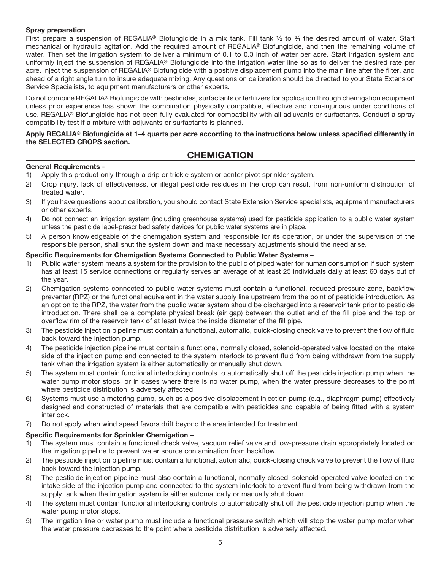### **Spray preparation**

First prepare a suspension of REGALIA® Biofungicide in a mix tank. Fill tank  $\frac{1}{2}$  to  $\frac{3}{4}$  the desired amount of water. Start mechanical or hydraulic agitation. Add the required amount of REGALIA® Biofungicide, and then the remaining volume of water. Then set the irrigation system to deliver a minimum of 0.1 to 0.3 inch of water per acre. Start irrigation system and uniformly inject the suspension of REGALIA® Biofungicide into the irrigation water line so as to deliver the desired rate per acre. Inject the suspension of REGALIA® Biofungicide with a positive displacement pump into the main line after the filter, and ahead of a right angle turn to insure adequate mixing. Any questions on calibration should be directed to your State Extension Service Specialists, to equipment manufacturers or other experts.

Do not combine REGALIA® Biofungicide with pesticides, surfactants or fertilizers for application through chemigation equipment unless prior experience has shown the combination physically compatible, effective and non-injurious under conditions of use. REGALIA® Biofungicide has not been fully evaluated for compatibility with all adjuvants or surfactants. Conduct a spray compatibility test if a mixture with adjuvants or surfactants is planned.

#### **Apply REGALIA® Biofungicide at 1–4 quarts per acre according to the instructions below unless specified differently in the SELECTED CROPS section.**

## **CHEMIGATION**

## **General Requirements -**

- 1) Apply this product only through a drip or trickle system or center pivot sprinkler system.
- 2) Crop injury, lack of effectiveness, or illegal pesticide residues in the crop can result from non-uniform distribution of treated water.
- 3) If you have questions about calibration, you should contact State Extension Service specialists, equipment manufacturers or other experts.
- 4) Do not connect an irrigation system (including greenhouse systems) used for pesticide application to a public water system unless the pesticide label-prescribed safety devices for public water systems are in place.
- 5) A person knowledgeable of the chemigation system and responsible for its operation, or under the supervision of the responsible person, shall shut the system down and make necessary adjustments should the need arise.

#### **Specific Requirements for Chemigation Systems Connected to Public Water Systems –**

- 1) Public water system means a system for the provision to the public of piped water for human consumption if such system has at least 15 service connections or regularly serves an average of at least 25 individuals daily at least 60 days out of the year.
- 2) Chemigation systems connected to public water systems must contain a functional, reduced-pressure zone, backflow preventer (RPZ) or the functional equivalent in the water supply line upstream from the point of pesticide introduction. As an option to the RPZ, the water from the public water system should be discharged into a reservoir tank prior to pesticide introduction. There shall be a complete physical break (air gap) between the outlet end of the fill pipe and the top or overflow rim of the reservoir tank of at least twice the inside diameter of the fill pipe.
- 3) The pesticide injection pipeline must contain a functional, automatic, quick-closing check valve to prevent the flow of fluid back toward the injection pump.
- 4) The pesticide injection pipeline must contain a functional, normally closed, solenoid-operated valve located on the intake side of the injection pump and connected to the system interlock to prevent fluid from being withdrawn from the supply tank when the irrigation system is either automatically or manually shut down.
- 5) The system must contain functional interlocking controls to automatically shut off the pesticide injection pump when the water pump motor stops, or in cases where there is no water pump, when the water pressure decreases to the point where pesticide distribution is adversely affected.
- 6) Systems must use a metering pump, such as a positive displacement injection pump (e.g., diaphragm pump) effectively designed and constructed of materials that are compatible with pesticides and capable of being fitted with a system interlock.
- 7) Do not apply when wind speed favors drift beyond the area intended for treatment.

#### **Specific Requirements for Sprinkler Chemigation –**

- 1) The system must contain a functional check valve, vacuum relief valve and low-pressure drain appropriately located on the irrigation pipeline to prevent water source contamination from backflow.
- 2) The pesticide injection pipeline must contain a functional, automatic, quick-closing check valve to prevent the flow of fluid back toward the injection pump.
- 3) The pesticide injection pipeline must also contain a functional, normally closed, solenoid-operated valve located on the intake side of the injection pump and connected to the system interlock to prevent fluid from being withdrawn from the supply tank when the irrigation system is either automatically or manually shut down.
- 4) The system must contain functional interlocking controls to automatically shut off the pesticide injection pump when the water pump motor stops.
- 5) The irrigation line or water pump must include a functional pressure switch which will stop the water pump motor when the water pressure decreases to the point where pesticide distribution is adversely affected.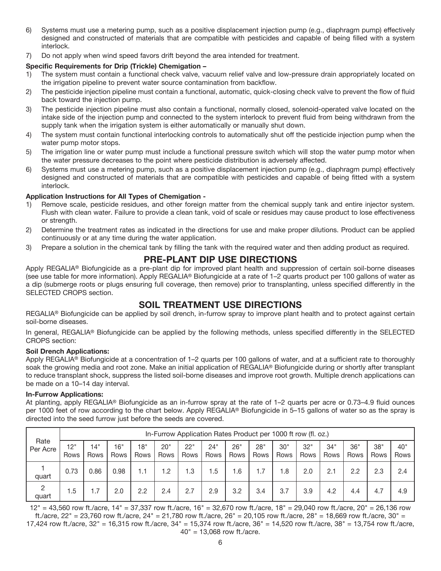- 6) Systems must use a metering pump, such as a positive displacement injection pump (e.g., diaphragm pump) effectively designed and constructed of materials that are compatible with pesticides and capable of being filled with a system interlock.
- 7) Do not apply when wind speed favors drift beyond the area intended for treatment.

## **Specific Requirements for Drip (Trickle) Chemigation –**

- 1) The system must contain a functional check valve, vacuum relief valve and low-pressure drain appropriately located on the irrigation pipeline to prevent water source contamination from backflow.
- 2) The pesticide injection pipeline must contain a functional, automatic, quick-closing check valve to prevent the flow of fluid back toward the injection pump.
- 3) The pesticide injection pipeline must also contain a functional, normally closed, solenoid-operated valve located on the intake side of the injection pump and connected to the system interlock to prevent fluid from being withdrawn from the supply tank when the irrigation system is either automatically or manually shut down.
- 4) The system must contain functional interlocking controls to automatically shut off the pesticide injection pump when the water pump motor stops.
- 5) The irrigation line or water pump must include a functional pressure switch which will stop the water pump motor when the water pressure decreases to the point where pesticide distribution is adversely affected.
- 6) Systems must use a metering pump, such as a positive displacement injection pump (e.g., diaphragm pump) effectively designed and constructed of materials that are compatible with pesticides and capable of being fitted with a system interlock.

## **Application Instructions for All Types of Chemigation -**

- 1) Remove scale, pesticide residues, and other foreign matter from the chemical supply tank and entire injector system. Flush with clean water. Failure to provide a clean tank, void of scale or residues may cause product to lose effectiveness or strength.
- 2) Determine the treatment rates as indicated in the directions for use and make proper dilutions. Product can be applied continuously or at any time during the water application.
- 3) Prepare a solution in the chemical tank by filling the tank with the required water and then adding product as required.

## **PRE-PLANT DIP USE DIRECTIONS**

Apply REGALIA<sup>®</sup> Biofungicide as a pre-plant dip for improved plant health and suppression of certain soil-borne diseases (see use table for more information). Apply REGALIA® Biofungicide at a rate of 1–2 quarts product per 100 gallons of water as a dip (submerge roots or plugs ensuring full coverage, then remove) prior to transplanting, unless specified differently in the SELECTED CROPS section.

# **SOIL TREATMENT USE DIRECTIONS**

REGALIA® Biofungicide can be applied by soil drench, in-furrow spray to improve plant health and to protect against certain soil-borne diseases.

In general, REGALIA® Biofungicide can be applied by the following methods, unless specified differently in the SELECTED CROPS section:

#### **Soil Drench Applications:**

Apply REGALIA® Biofungicide at a concentration of 1–2 quarts per 100 gallons of water, and at a sufficient rate to thoroughly soak the growing media and root zone. Make an initial application of REGALIA® Biofungicide during or shortly after transplant to reduce transplant shock, suppress the listed soil-borne diseases and improve root growth. Multiple drench applications can be made on a 10–14 day interval.

#### **In-Furrow Applications:**

At planting, apply REGALIA® Biofungicide as an in-furrow spray at the rate of 1–2 quarts per acre or 0.73–4.9 fluid ounces per 1000 feet of row according to the chart below. Apply REGALIA® Biofungicide in 5–15 gallons of water so as the spray is directed into the seed furrow just before the seeds are covered.

|                         |             | In-Furrow Application Rates Product per 1000 ft row (fl. oz.) |             |             |             |             |             |             |             |             |             |             |             |             |             |
|-------------------------|-------------|---------------------------------------------------------------|-------------|-------------|-------------|-------------|-------------|-------------|-------------|-------------|-------------|-------------|-------------|-------------|-------------|
| Rate<br>Per Acre        | 12"<br>Rows | 14"<br>Rows                                                   | 16"<br>Rows | 18"<br>Rows | 20"<br>Rows | 22"<br>Rows | 24"<br>Rows | 26"<br>Rows | 28"<br>Rows | 30"<br>Rows | 32"<br>Rows | 34"<br>Rows | 36"<br>Rows | 38"<br>Rows | 40"<br>Rows |
| quart                   | 0.73        | 0.86                                                          | 0.98        | 1.1         | .2          | .3          | .5          | 1.6         | 1.7         | 8. ا        | 2.0         | 2.1         | 2.2         | 2.3         | 2.4         |
| $\overline{c}$<br>quart | 1.5         | 1.7                                                           | 2.0         | 2.2         | 2.4         | 2.7         | 2.9         | 3.2         | 3.4         | 3.7         | 3.9         | 4.2         | 4.4         | 4.7         | 4.9         |

12" = 43,560 row ft./acre, 14" = 37,337 row ft./acre, 16" = 32,670 row ft./acre, 18" = 29,040 row ft./acre, 20" = 26,136 row ft./acre, 22" = 23,760 row ft./acre, 24" = 21,780 row ft./acre, 26" = 20,105 row ft./acre, 28" = 18,669 row ft./acre, 30" =

17,424 row ft./acre, 32" = 16,315 row ft./acre, 34" = 15,374 row ft./acre, 36" = 14,520 row ft./acre, 38" = 13,754 row ft./acre, 40" = 13,068 row ft./acre.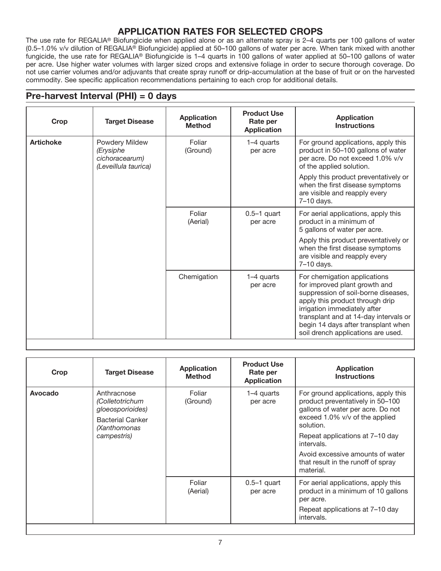# **APPLICATION RATES FOR SELECTED CROPS**

The use rate for REGALIA® Biofungicide when applied alone or as an alternate spray is 2–4 quarts per 100 gallons of water (0.5–1.0% v/v dilution of REGALIA® Biofungicide) applied at 50–100 gallons of water per acre. When tank mixed with another fungicide, the use rate for REGALIA® Biofungicide is 1–4 quarts in 100 gallons of water applied at 50–100 gallons of water per acre. Use higher water volumes with larger sized crops and extensive foliage in order to secure thorough coverage. Do not use carrier volumes and/or adjuvants that create spray runoff or drip-accumulation at the base of fruit or on the harvested commodity. See specific application recommendations pertaining to each crop for additional details.

# **Pre-harvest Interval (PHI) = 0 days**

| Crop             | <b>Target Disease</b>                         | <b>Application</b><br><b>Method</b> | <b>Product Use</b><br>Rate per<br><b>Application</b> | <b>Application</b><br><b>Instructions</b>                                                                                                                                                                                                                                                     |  |                      |                    |                        |                                                                                                                                           |
|------------------|-----------------------------------------------|-------------------------------------|------------------------------------------------------|-----------------------------------------------------------------------------------------------------------------------------------------------------------------------------------------------------------------------------------------------------------------------------------------------|--|----------------------|--------------------|------------------------|-------------------------------------------------------------------------------------------------------------------------------------------|
| <b>Artichoke</b> | Powdery Mildew<br>(Erysiphe<br>cichoracearum) |                                     |                                                      |                                                                                                                                                                                                                                                                                               |  | (Leveillula taurica) | Foliar<br>(Ground) | 1-4 quarts<br>per acre | For ground applications, apply this<br>product in 50-100 gallons of water<br>per acre. Do not exceed 1.0% v/v<br>of the applied solution. |
|                  |                                               |                                     |                                                      | Apply this product preventatively or<br>when the first disease symptoms<br>are visible and reapply every<br>7-10 days.                                                                                                                                                                        |  |                      |                    |                        |                                                                                                                                           |
|                  | Foliar<br>(Aerial)                            |                                     | $0.5-1$ quart<br>per acre                            | For aerial applications, apply this<br>product in a minimum of<br>5 gallons of water per acre.                                                                                                                                                                                                |  |                      |                    |                        |                                                                                                                                           |
|                  |                                               |                                     |                                                      | Apply this product preventatively or<br>when the first disease symptoms<br>are visible and reapply every<br>$7-10$ days.                                                                                                                                                                      |  |                      |                    |                        |                                                                                                                                           |
|                  |                                               | Chemigation                         | 1–4 quarts<br>per acre                               | For chemigation applications<br>for improved plant growth and<br>suppression of soil-borne diseases,<br>apply this product through drip<br>irrigation immediately after<br>transplant and at 14-day intervals or<br>begin 14 days after transplant when<br>soil drench applications are used. |  |                      |                    |                        |                                                                                                                                           |

| Crop    | <b>Target Disease</b>                                                                                        | <b>Application</b><br><b>Method</b> | <b>Product Use</b><br>Rate per<br><b>Application</b> | <b>Application</b><br><b>Instructions</b>                                                                                                                                                                                                                                                           |
|---------|--------------------------------------------------------------------------------------------------------------|-------------------------------------|------------------------------------------------------|-----------------------------------------------------------------------------------------------------------------------------------------------------------------------------------------------------------------------------------------------------------------------------------------------------|
| Avocado | Anthracnose<br>(Colletotrichum<br>gloeosporioides)<br><b>Bacterial Canker</b><br>(Xanthomonas<br>campestris) | Foliar<br>(Ground)                  | 1–4 quarts<br>per acre                               | For ground applications, apply this<br>product preventatively in 50-100<br>gallons of water per acre. Do not<br>exceed 1.0% v/v of the applied<br>solution.<br>Repeat applications at 7–10 day<br>intervals.<br>Avoid excessive amounts of water<br>that result in the runoff of spray<br>material. |
|         |                                                                                                              | Foliar<br>(Aerial)                  | $0.5-1$ quart<br>per acre                            | For aerial applications, apply this<br>product in a minimum of 10 gallons<br>per acre.<br>Repeat applications at 7–10 day<br>intervals.                                                                                                                                                             |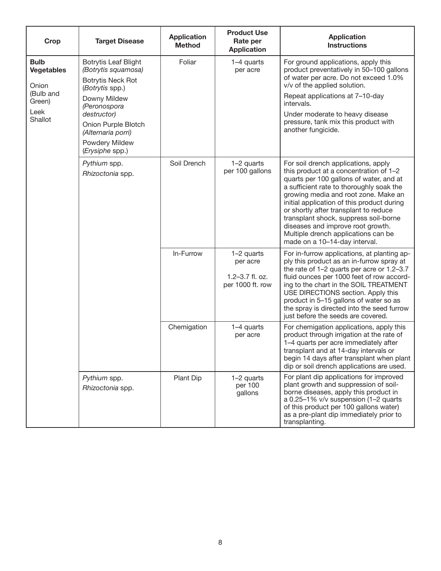| Crop                                                                                | <b>Target Disease</b>                                                                                                                                                                                                              | <b>Application</b><br><b>Method</b> | <b>Product Use</b><br>Rate per<br><b>Application</b>          | <b>Application</b><br><b>Instructions</b>                                                                                                                                                                                                                                                                                                                                                                                                                 |
|-------------------------------------------------------------------------------------|------------------------------------------------------------------------------------------------------------------------------------------------------------------------------------------------------------------------------------|-------------------------------------|---------------------------------------------------------------|-----------------------------------------------------------------------------------------------------------------------------------------------------------------------------------------------------------------------------------------------------------------------------------------------------------------------------------------------------------------------------------------------------------------------------------------------------------|
| <b>Bulb</b><br><b>Vegetables</b><br>Onion<br>(Bulb and<br>Green)<br>Leek<br>Shallot | <b>Botrytis Leaf Blight</b><br>(Botrytis squamosa)<br><b>Botrytis Neck Rot</b><br>(Botrytis spp.)<br>Downy Mildew<br>(Peronospora<br>destructor)<br>Onion Purple Blotch<br>(Alternaria porri)<br>Powdery Mildew<br>(Erysiphe spp.) | Foliar                              | 1-4 quarts<br>per acre                                        | For ground applications, apply this<br>product preventatively in 50-100 gallons<br>of water per acre. Do not exceed 1.0%<br>v/v of the applied solution.<br>Repeat applications at 7-10-day<br>intervals.<br>Under moderate to heavy disease<br>pressure, tank mix this product with<br>another fungicide.                                                                                                                                                |
|                                                                                     | Pythium spp.<br>Rhizoctonia spp.                                                                                                                                                                                                   | Soil Drench                         | 1-2 quarts<br>per 100 gallons                                 | For soil drench applications, apply<br>this product at a concentration of 1-2<br>quarts per 100 gallons of water, and at<br>a sufficient rate to thoroughly soak the<br>growing media and root zone. Make an<br>initial application of this product during<br>or shortly after transplant to reduce<br>transplant shock, suppress soil-borne<br>diseases and improve root growth.<br>Multiple drench applications can be<br>made on a 10-14-day interval. |
|                                                                                     |                                                                                                                                                                                                                                    | In-Furrow                           | 1-2 quarts<br>per acre<br>1.2-3.7 fl. oz.<br>per 1000 ft. row | For in-furrow applications, at planting ap-<br>ply this product as an in-furrow spray at<br>the rate of 1-2 quarts per acre or 1.2-3.7<br>fluid ounces per 1000 feet of row accord-<br>ing to the chart in the SOIL TREATMENT<br>USE DIRECTIONS section. Apply this<br>product in 5-15 gallons of water so as<br>the spray is directed into the seed furrow<br>just before the seeds are covered.                                                         |
|                                                                                     |                                                                                                                                                                                                                                    | Chemigation                         | 1-4 quarts<br>per acre                                        | For chemigation applications, apply this<br>product through irrigation at the rate of<br>1-4 quarts per acre immediately after<br>transplant and at 14-day intervals or<br>begin 14 days after transplant when plant<br>dip or soil drench applications are used.                                                                                                                                                                                         |
|                                                                                     | Pythium spp.<br>Rhizoctonia spp.                                                                                                                                                                                                   | Plant Dip                           | 1-2 quarts<br>per 100<br>gallons                              | For plant dip applications for improved<br>plant growth and suppression of soil-<br>borne diseases, apply this product in<br>a 0.25-1% v/v suspension (1-2 quarts<br>of this product per 100 gallons water)<br>as a pre-plant dip immediately prior to<br>transplanting.                                                                                                                                                                                  |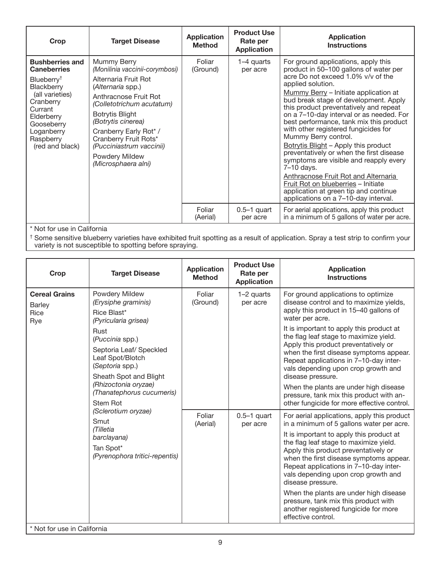| Crop                                                                                                                                                                                                      | <b>Target Disease</b>                                                                                                                                                                                                                                                                                                    | <b>Application</b><br><b>Method</b> | <b>Product Use</b><br>Rate per<br><b>Application</b> | <b>Application</b><br><b>Instructions</b>                                                                                                                                                                                                                                                                                                                                                                                                                                                                                                                                                                                                                                                                                               |
|-----------------------------------------------------------------------------------------------------------------------------------------------------------------------------------------------------------|--------------------------------------------------------------------------------------------------------------------------------------------------------------------------------------------------------------------------------------------------------------------------------------------------------------------------|-------------------------------------|------------------------------------------------------|-----------------------------------------------------------------------------------------------------------------------------------------------------------------------------------------------------------------------------------------------------------------------------------------------------------------------------------------------------------------------------------------------------------------------------------------------------------------------------------------------------------------------------------------------------------------------------------------------------------------------------------------------------------------------------------------------------------------------------------------|
| <b>Bushberries and</b><br><b>Caneberries</b><br>Blueberry <sup>†</sup><br>Blackberry<br>(all varieties)<br>Cranberry<br>Currant<br>Elderberry<br>Gooseberry<br>Loganberry<br>Raspberry<br>(red and black) | Mummy Berry<br>(Monilinia vaccinii-corymbosi)<br>Alternaria Fruit Rot<br>(Alternaria spp.)<br>Anthracnose Fruit Rot<br>(Colletotrichum acutatum)<br><b>Botrytis Blight</b><br>(Botrytis cinerea)<br>Cranberry Early Rot* /<br>Cranberry Fruit Rots*<br>(Pucciniastrum vaccinii)<br>Powdery Mildew<br>(Microsphaera alni) | Foliar<br>(Ground)                  | 1–4 quarts<br>per acre                               | For ground applications, apply this<br>product in 50–100 gallons of water per<br>acre Do not exceed 1.0% v/v of the<br>applied solution.<br>Mummy Berry - Initiate application at<br>bud break stage of development. Apply<br>this product preventatively and repeat<br>on a 7-10-day interval or as needed. For<br>best performance, tank mix this product<br>with other registered fungicides for<br>Mummy Berry control.<br>Botrytis Blight - Apply this product<br>preventatively or when the first disease<br>symptoms are visible and reapply every<br>7-10 days.<br>Anthracnose Fruit Rot and Alternaria<br>Fruit Rot on blueberries - Initiate<br>application at green tip and continue<br>applications on a 7-10-day interval. |
|                                                                                                                                                                                                           |                                                                                                                                                                                                                                                                                                                          | Foliar<br>(Aerial)                  | $0.5-1$ quart<br>per acre                            | For aerial applications, apply this product<br>in a minimum of 5 gallons of water per acre.                                                                                                                                                                                                                                                                                                                                                                                                                                                                                                                                                                                                                                             |

\* Not for use in California

 $^\dagger$  Some sensitive blueberry varieties have exhibited fruit spotting as a result of application. Spray a test strip to confirm your variety is not susceptible to spotting before spraying.

| Crop                                                 | <b>Target Disease</b>                                                                                                                                                                                                                                                | <b>Application</b><br><b>Method</b> | <b>Product Use</b><br>Rate per<br><b>Application</b> | <b>Application</b><br><b>Instructions</b>                                                                                                                                                                                                                                                                                                                                                                                                                                                                                                                       |
|------------------------------------------------------|----------------------------------------------------------------------------------------------------------------------------------------------------------------------------------------------------------------------------------------------------------------------|-------------------------------------|------------------------------------------------------|-----------------------------------------------------------------------------------------------------------------------------------------------------------------------------------------------------------------------------------------------------------------------------------------------------------------------------------------------------------------------------------------------------------------------------------------------------------------------------------------------------------------------------------------------------------------|
| <b>Cereal Grains</b><br><b>Barley</b><br>Rice<br>Rye | Powdery Mildew<br>(Erysiphe graminis)<br>Rice Blast*<br>(Pyricularia grisea)<br>Rust<br>(Puccinia spp.)<br>Septoria Leaf/ Speckled<br>Leaf Spot/Blotch<br>(Septoria spp.)<br>Sheath Spot and Blight<br>(Rhizoctonia oryzae)<br>(Thanatephorus cucumeris)<br>Stem Rot | Foliar<br>(Ground)                  | 1-2 quarts<br>per acre                               | For ground applications to optimize<br>disease control and to maximize yields,<br>apply this product in 15-40 gallons of<br>water per acre.<br>It is important to apply this product at<br>the flag leaf stage to maximize yield.<br>Apply this product preventatively or<br>when the first disease symptoms appear.<br>Repeat applications in 7-10-day inter-<br>vals depending upon crop growth and<br>disease pressure.<br>When the plants are under high disease<br>pressure, tank mix this product with an-<br>other fungicide for more effective control. |
|                                                      | (Sclerotium oryzae)<br>Smut<br>(Tilletia<br>barclayana)<br>Tan Spot*<br>(Pyrenophora tritici-repentis)                                                                                                                                                               | Foliar<br>(Aerial)                  | $0.5-1$ quart<br>per acre                            | For aerial applications, apply this product<br>in a minimum of 5 gallons water per acre.<br>It is important to apply this product at<br>the flag leaf stage to maximize yield.<br>Apply this product preventatively or<br>when the first disease symptoms appear.<br>Repeat applications in 7-10-day inter-<br>vals depending upon crop growth and<br>disease pressure.<br>When the plants are under high disease<br>pressure, tank mix this product with<br>another registered fungicide for more<br>effective control.                                        |

\* Not for use in California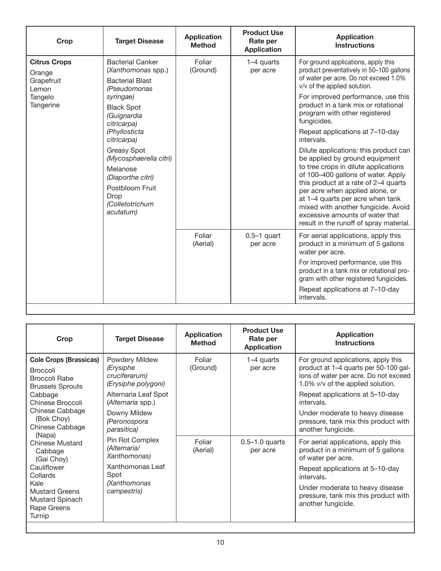| Crop                                                                         | <b>Target Disease</b>                                                                                                                                                                                                                                                                                                        | <b>Application</b><br><b>Method</b> | <b>Product Use</b><br>Rate per<br><b>Application</b> | <b>Application</b><br><b>Instructions</b>                                                                                                                                                                                                                                                                                                                                                                                                                                                                                                                                                                                                                                                                                           |
|------------------------------------------------------------------------------|------------------------------------------------------------------------------------------------------------------------------------------------------------------------------------------------------------------------------------------------------------------------------------------------------------------------------|-------------------------------------|------------------------------------------------------|-------------------------------------------------------------------------------------------------------------------------------------------------------------------------------------------------------------------------------------------------------------------------------------------------------------------------------------------------------------------------------------------------------------------------------------------------------------------------------------------------------------------------------------------------------------------------------------------------------------------------------------------------------------------------------------------------------------------------------------|
| <b>Citrus Crops</b><br>Orange<br>Grapefruit<br>Lemon<br>Tangelo<br>Tangerine | <b>Bacterial Canker</b><br>(Xanthomonas spp.)<br><b>Bacterial Blast</b><br>(Pseudomonas<br>syringae)<br><b>Black Spot</b><br>(Guignardia<br>citricarpa)<br>(Phyllosticta<br>citricarpa)<br>Greasy Spot<br>(Mycosphaerella citri)<br>Melanose<br>(Diaporthe citri)<br>Postbloom Fruit<br>Drop<br>(Colletotrichum<br>acutatum) | Foliar<br>(Ground)                  | 1-4 quarts<br>per acre                               | For ground applications, apply this<br>product preventatively in 50-100 gallons<br>of water per acre. Do not exceed 1.0%<br>v/v of the applied solution.<br>For improved performance, use this<br>product in a tank mix or rotational<br>program with other registered<br>fungicides.<br>Repeat applications at 7-10-day<br>intervals.<br>Dilute applications: this product can<br>be applied by ground equipment<br>to tree crops in dilute applications<br>of 100-400 gallons of water. Apply<br>this product at a rate of 2-4 quarts<br>per acre when applied alone, or<br>at 1-4 quarts per acre when tank<br>mixed with another fungicide. Avoid<br>excessive amounts of water that<br>result in the runoff of spray material. |
|                                                                              |                                                                                                                                                                                                                                                                                                                              | Foliar<br>(Aerial)                  | $0.5-1$ quart<br>per acre                            | For aerial applications, apply this<br>product in a minimum of 5 gallons<br>water per acre.<br>For improved performance, use this<br>product in a tank mix or rotational pro-<br>gram with other registered fungicides.<br>Repeat applications at 7-10-day<br>intervals.                                                                                                                                                                                                                                                                                                                                                                                                                                                            |

| Crop                                                                                                                                                              | <b>Target Disease</b>                                                                                                            | <b>Application</b><br><b>Method</b> | <b>Product Use</b><br>Rate per<br><b>Application</b> | <b>Application</b><br><b>Instructions</b>                                                                                                                                                                                                                                              |
|-------------------------------------------------------------------------------------------------------------------------------------------------------------------|----------------------------------------------------------------------------------------------------------------------------------|-------------------------------------|------------------------------------------------------|----------------------------------------------------------------------------------------------------------------------------------------------------------------------------------------------------------------------------------------------------------------------------------------|
| <b>Cole Crops (Brassicas)</b><br><b>Broccoli</b><br>Broccoli Rabe<br><b>Brussels Sprouts</b><br>Cabbage<br>Chinese Broccoli<br>Chinese Cabbage<br>(Bok Choy)      | Powdery Mildew<br>(Erysiphe<br>cruciferarum)<br>(Erysiphe polygoni)<br>Alternaria Leaf Spot<br>(Alternaria spp.)<br>Downy Mildew | Foliar<br>(Ground)                  | 1-4 quarts<br>per acre                               | For ground applications, apply this<br>product at 1-4 quarts per 50-100 gal-<br>lons of water per acre. Do not exceed<br>1.0% v/v of the applied solution.<br>Repeat applications at 5-10-day<br>intervals.<br>Under moderate to heavy disease<br>pressure, tank mix this product with |
| Chinese Cabbage                                                                                                                                                   | (Peronospora<br>parasitica)                                                                                                      |                                     |                                                      | another fungicide.                                                                                                                                                                                                                                                                     |
| (Napa)<br><b>Chinese Mustard</b><br>Cabbage<br>(Gai Choy)<br>Cauliflower<br>Collards<br>Kale<br><b>Mustard Greens</b><br>Mustard Spinach<br>Rape Greens<br>Turnip | Pin Rot Complex<br>(Alternaria/<br>Xanthomonas)<br>Xanthomonas Leaf<br>Spot<br>(Xanthomonas<br>campestris)                       | Foliar<br>(Aerial)                  | $0.5 - 1.0$ quarts<br>per acre                       | For aerial applications, apply this<br>product in a minimum of 5 gallons<br>of water per acre.<br>Repeat applications at 5-10-day<br>intervals.<br>Under moderate to heavy disease<br>pressure, tank mix this product with<br>another fungicide.                                       |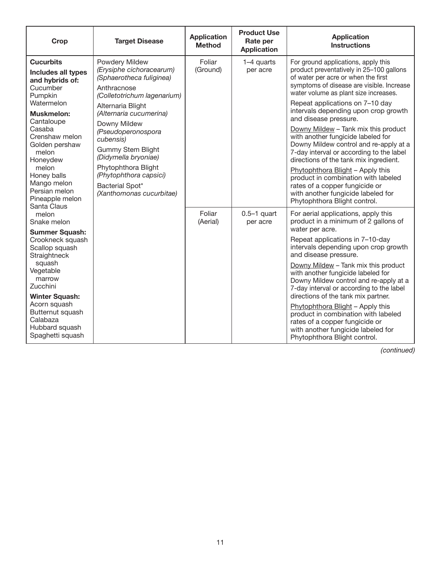| <b>Crop</b>                                                                                                                                                                                                                                                                    | <b>Target Disease</b>                                                                                                                                                                                                                               | <b>Application</b><br><b>Method</b> | <b>Product Use</b><br>Rate per<br><b>Application</b> | <b>Application</b><br><b>Instructions</b>                                                                                                                                                                                                                                                                                                                                                                                                                                                                                                                                                        |
|--------------------------------------------------------------------------------------------------------------------------------------------------------------------------------------------------------------------------------------------------------------------------------|-----------------------------------------------------------------------------------------------------------------------------------------------------------------------------------------------------------------------------------------------------|-------------------------------------|------------------------------------------------------|--------------------------------------------------------------------------------------------------------------------------------------------------------------------------------------------------------------------------------------------------------------------------------------------------------------------------------------------------------------------------------------------------------------------------------------------------------------------------------------------------------------------------------------------------------------------------------------------------|
| <b>Cucurbits</b><br>Includes all types<br>and hybrids of:<br>Cucumber<br>Pumpkin<br>Watermelon                                                                                                                                                                                 | Powdery Mildew<br>(Erysiphe cichoracearum)<br>(Sphaerotheca fuliginea)<br>Anthracnose<br>(Colletotrichum lagenarium)<br>Alternaria Blight                                                                                                           | Foliar<br>(Ground)                  | 1-4 quarts<br>per acre                               | For ground applications, apply this<br>product preventatively in 25-100 gallons<br>of water per acre or when the first<br>symptoms of disease are visible. Increase<br>water volume as plant size increases.<br>Repeat applications on 7-10 day<br>intervals depending upon crop growth                                                                                                                                                                                                                                                                                                          |
| Cantaloupe<br>Casaba<br>Crenshaw melon<br>Golden pershaw<br>melon<br>Honeydew<br>melon<br>Honey balls<br>Mango melon<br>Persian melon<br>Pineapple melon                                                                                                                       | <b>Muskmelon:</b><br>(Alternaria cucumerina)<br>Downy Mildew<br>(Pseudoperonospora<br>cubensis)<br><b>Gummy Stem Blight</b><br>(Didymella bryoniae)<br>Phytophthora Blight<br>(Phytophthora capsici)<br>Bacterial Spot*<br>(Xanthomonas cucurbitae) |                                     |                                                      | and disease pressure.<br>Downy Mildew - Tank mix this product<br>with another fungicide labeled for<br>Downy Mildew control and re-apply at a<br>7-day interval or according to the label<br>directions of the tank mix ingredient.<br>Phytophthora Blight - Apply this<br>product in combination with labeled<br>rates of a copper fungicide or<br>with another fungicide labeled for<br>Phytophthora Blight control.                                                                                                                                                                           |
| Santa Claus<br>melon<br>Snake melon<br><b>Summer Squash:</b><br>Crookneck squash<br>Scallop squash<br>Straightneck<br>squash<br>Vegetable<br>marrow<br>Zucchini<br><b>Winter Squash:</b><br>Acorn squash<br>Butternut squash<br>Calabaza<br>Hubbard squash<br>Spaghetti squash |                                                                                                                                                                                                                                                     | Foliar<br>(Aerial)                  | $0.5-1$ quart<br>per acre                            | For aerial applications, apply this<br>product in a minimum of 2 gallons of<br>water per acre.<br>Repeat applications in 7-10-day<br>intervals depending upon crop growth<br>and disease pressure.<br>Downy Mildew - Tank mix this product<br>with another fungicide labeled for<br>Downy Mildew control and re-apply at a<br>7-day interval or according to the label<br>directions of the tank mix partner.<br>Phytophthora Blight - Apply this<br>product in combination with labeled<br>rates of a copper fungicide or<br>with another fungicide labeled for<br>Phytophthora Blight control. |

*(continued)*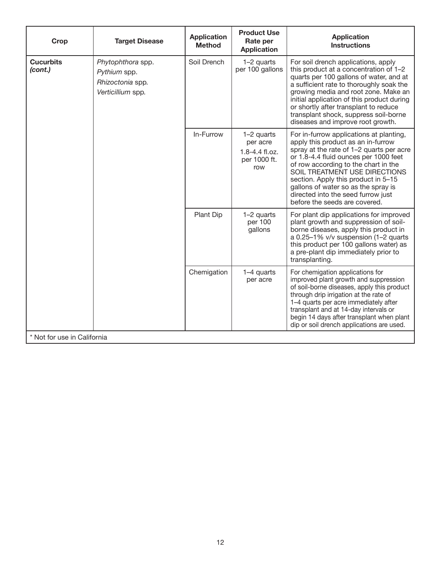| Crop                        | <b>Target Disease</b>                                                      | <b>Application</b><br><b>Method</b> | <b>Product Use</b><br>Rate per<br><b>Application</b>            | <b>Application</b><br><b>Instructions</b>                                                                                                                                                                                                                                                                                                                                                        |
|-----------------------------|----------------------------------------------------------------------------|-------------------------------------|-----------------------------------------------------------------|--------------------------------------------------------------------------------------------------------------------------------------------------------------------------------------------------------------------------------------------------------------------------------------------------------------------------------------------------------------------------------------------------|
| <b>Cucurbits</b><br>(cont.) | Phytophthora spp.<br>Pythium spp.<br>Rhizoctonia spp.<br>Verticillium spp. | Soil Drench                         | 1-2 quarts<br>per 100 gallons                                   | For soil drench applications, apply<br>this product at a concentration of 1-2<br>quarts per 100 gallons of water, and at<br>a sufficient rate to thoroughly soak the<br>growing media and root zone. Make an<br>initial application of this product during<br>or shortly after transplant to reduce<br>transplant shock, suppress soil-borne<br>diseases and improve root growth.                |
|                             |                                                                            | In-Furrow                           | 1-2 quarts<br>per acre<br>1.8-4.4 fl.oz.<br>per 1000 ft.<br>row | For in-furrow applications at planting,<br>apply this product as an in-furrow<br>spray at the rate of 1-2 quarts per acre<br>or 1.8-4.4 fluid ounces per 1000 feet<br>of row according to the chart in the<br>SOIL TREATMENT USE DIRECTIONS<br>section. Apply this product in 5-15<br>gallons of water so as the spray is<br>directed into the seed furrow just<br>before the seeds are covered. |
|                             |                                                                            | Plant Dip                           | 1-2 quarts<br>per 100<br>gallons                                | For plant dip applications for improved<br>plant growth and suppression of soil-<br>borne diseases, apply this product in<br>a 0.25-1% v/v suspension (1-2 quarts<br>this product per 100 gallons water) as<br>a pre-plant dip immediately prior to<br>transplanting.                                                                                                                            |
|                             |                                                                            | Chemigation                         | 1-4 quarts<br>per acre                                          | For chemigation applications for<br>improved plant growth and suppression<br>of soil-borne diseases, apply this product<br>through drip irrigation at the rate of<br>1-4 quarts per acre immediately after<br>transplant and at 14-day intervals or<br>begin 14 days after transplant when plant<br>dip or soil drench applications are used.                                                    |
| * Not for use in California |                                                                            |                                     |                                                                 |                                                                                                                                                                                                                                                                                                                                                                                                  |

┙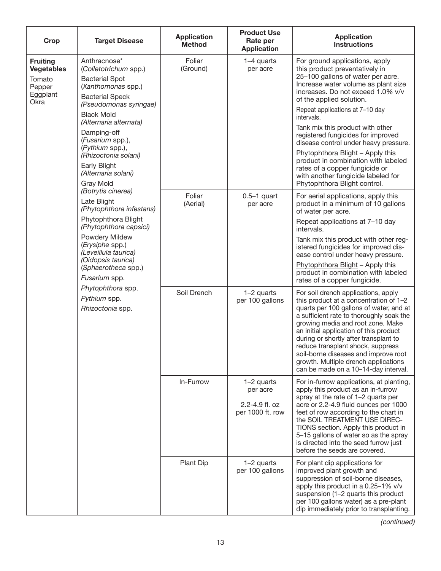| Crop                                                                         | <b>Target Disease</b>                                                                                                                                                                                                                                                                                                            | <b>Application</b><br><b>Method</b> | <b>Product Use</b><br>Rate per<br><b>Application</b>         | <b>Application</b><br><b>Instructions</b>                                                                                                                                                                                                                                                                                                                                                                                                                                                                                                                            |
|------------------------------------------------------------------------------|----------------------------------------------------------------------------------------------------------------------------------------------------------------------------------------------------------------------------------------------------------------------------------------------------------------------------------|-------------------------------------|--------------------------------------------------------------|----------------------------------------------------------------------------------------------------------------------------------------------------------------------------------------------------------------------------------------------------------------------------------------------------------------------------------------------------------------------------------------------------------------------------------------------------------------------------------------------------------------------------------------------------------------------|
| <b>Fruiting</b><br><b>Vegetables</b><br>Tomato<br>Pepper<br>Eggplant<br>Okra | Anthracnose*<br>(Colletotrichum spp.)<br><b>Bacterial Spot</b><br>(Xanthomonas spp.)<br><b>Bacterial Speck</b><br>(Pseudomonas syringae)<br><b>Black Mold</b><br>(Alternaria alternata)<br>Damping-off<br>(Fusarium spp.),<br>(Pythium spp.),<br>(Rhizoctonia solani)<br>Early Blight<br>(Alternaria solani)<br><b>Gray Mold</b> | Foliar<br>(Ground)                  | 1-4 quarts<br>per acre                                       | For ground applications, apply<br>this product preventatively in<br>25-100 gallons of water per acre.<br>Increase water volume as plant size<br>increases. Do not exceed 1.0% v/v<br>of the applied solution.<br>Repeat applications at 7-10 day<br>intervals.<br>Tank mix this product with other<br>registered fungicides for improved<br>disease control under heavy pressure.<br>Phytophthora Blight - Apply this<br>product in combination with labeled<br>rates of a copper fungicide or<br>with another fungicide labeled for<br>Phytophthora Blight control. |
|                                                                              | (Botrytis cinerea)<br>Late Blight<br>(Phytophthora infestans)<br>Phytophthora Blight<br>(Phytophthora capsici)<br>Powdery Mildew<br>(Erysiphe spp.)<br>(Leveillula taurica)<br>(Oidopsis taurica)<br>(Sphaerotheca spp.)<br>Fusarium spp.<br>Phytophthora spp.<br>Pythium spp.                                                   | Foliar<br>(Aerial)<br>Soil Drench   | $0.5-1$ quart<br>per acre<br>1-2 quarts<br>per 100 gallons   | For aerial applications, apply this<br>product in a minimum of 10 gallons<br>of water per acre.<br>Repeat applications at 7-10 day<br>intervals.<br>Tank mix this product with other reg-<br>istered fungicides for improved dis-<br>ease control under heavy pressure.<br>Phytophthora Blight - Apply this<br>product in combination with labeled<br>rates of a copper fungicide.<br>For soil drench applications, apply<br>this product at a concentration of 1-2                                                                                                  |
|                                                                              | Rhizoctonia spp.                                                                                                                                                                                                                                                                                                                 |                                     |                                                              | quarts per 100 gallons of water, and at<br>a sufficient rate to thoroughly soak the<br>growing media and root zone. Make<br>an initial application of this product<br>during or shortly after transplant to<br>reduce transplant shock, suppress<br>soil-borne diseases and improve root<br>growth. Multiple drench applications<br>can be made on a 10-14-day interval.                                                                                                                                                                                             |
|                                                                              |                                                                                                                                                                                                                                                                                                                                  | In-Furrow                           | 1-2 quarts<br>per acre<br>2.2-4.9 fl. oz<br>per 1000 ft. row | For in-furrow applications, at planting,<br>apply this product as an in-furrow<br>spray at the rate of 1-2 quarts per<br>acre or 2.2-4.9 fluid ounces per 1000<br>feet of row according to the chart in<br>the SOIL TREATMENT USE DIREC-<br>TIONS section. Apply this product in<br>5-15 gallons of water so as the spray<br>is directed into the seed furrow just<br>before the seeds are covered.                                                                                                                                                                  |
|                                                                              |                                                                                                                                                                                                                                                                                                                                  | Plant Dip                           | 1-2 quarts<br>per 100 gallons                                | For plant dip applications for<br>improved plant growth and<br>suppression of soil-borne diseases,<br>apply this product in a 0.25-1% v/v<br>suspension (1-2 quarts this product<br>per 100 gallons water) as a pre-plant<br>dip immediately prior to transplanting.                                                                                                                                                                                                                                                                                                 |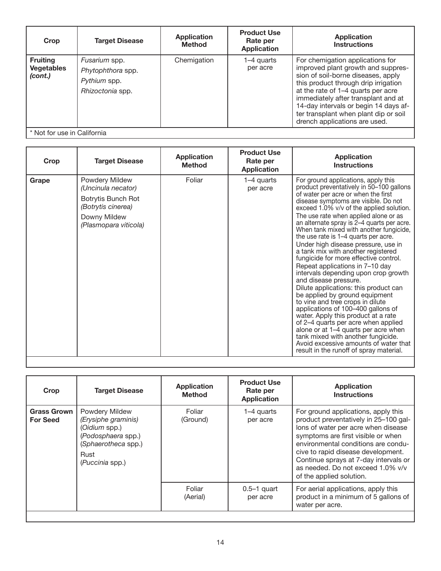| Crop                                            | <b>Target Disease</b>                                                  | <b>Application</b><br><b>Method</b> | <b>Product Use</b><br>Rate per<br><b>Application</b> | <b>Application</b><br><b>Instructions</b>                                                                                                                                                                                                                                                                                                            |
|-------------------------------------------------|------------------------------------------------------------------------|-------------------------------------|------------------------------------------------------|------------------------------------------------------------------------------------------------------------------------------------------------------------------------------------------------------------------------------------------------------------------------------------------------------------------------------------------------------|
| <b>Fruiting</b><br><b>Vegetables</b><br>(cont.) | Fusarium spp.<br>Phytophthora spp.<br>Pythium spp.<br>Rhizoctonia spp. | Chemigation                         | 1–4 quarts<br>per acre                               | For chemigation applications for<br>improved plant growth and suppres-<br>sion of soil-borne diseases, apply<br>this product through drip irrigation<br>at the rate of 1-4 quarts per acre<br>immediately after transplant and at<br>14-day intervals or begin 14 days af-<br>ter transplant when plant dip or soil<br>drench applications are used. |
| * Not for use in California                     |                                                                        |                                     |                                                      |                                                                                                                                                                                                                                                                                                                                                      |

| Crop  | <b>Target Disease</b>                                                                                                     | <b>Application</b><br><b>Method</b> | <b>Product Use</b><br>Rate per<br><b>Application</b> | <b>Application</b><br><b>Instructions</b>                                                                                                                                                                                                                                                                                                                                                                                                                                                                                                                                                                                                                                                                                                                                                                                                                                                                                                                                                                           |
|-------|---------------------------------------------------------------------------------------------------------------------------|-------------------------------------|------------------------------------------------------|---------------------------------------------------------------------------------------------------------------------------------------------------------------------------------------------------------------------------------------------------------------------------------------------------------------------------------------------------------------------------------------------------------------------------------------------------------------------------------------------------------------------------------------------------------------------------------------------------------------------------------------------------------------------------------------------------------------------------------------------------------------------------------------------------------------------------------------------------------------------------------------------------------------------------------------------------------------------------------------------------------------------|
| Grape | Powdery Mildew<br>(Uncinula necator)<br>Botrytis Bunch Rot<br>(Botrytis cinerea)<br>Downy Mildew<br>(Plasmopara viticola) | Foliar                              | 1–4 quarts<br>per acre                               | For ground applications, apply this<br>product preventatively in 50-100 gallons<br>of water per acre or when the first<br>disease symptoms are visible. Do not<br>exceed 1.0% v/v of the applied solution.<br>The use rate when applied alone or as<br>an alternate spray is 2-4 quarts per acre.<br>When tank mixed with another fungicide,<br>the use rate is 1–4 quarts per acre.<br>Under high disease pressure, use in<br>a tank mix with another registered<br>fungicide for more effective control.<br>Repeat applications in 7-10 day<br>intervals depending upon crop growth<br>and disease pressure.<br>Dilute applications: this product can<br>be applied by ground equipment<br>to vine and tree crops in dilute<br>applications of 100-400 gallons of<br>water. Apply this product at a rate<br>of 2–4 quarts per acre when applied<br>alone or at 1-4 quarts per acre when<br>tank mixed with another fungicide.<br>Avoid excessive amounts of water that<br>result in the runoff of spray material. |

| Crop                                  | <b>Target Disease</b>                                                                                                                 | <b>Application</b><br><b>Method</b> | <b>Product Use</b><br>Rate per<br><b>Application</b> | <b>Application</b><br><b>Instructions</b>                                                                                                                                                                                                                                                                                                        |
|---------------------------------------|---------------------------------------------------------------------------------------------------------------------------------------|-------------------------------------|------------------------------------------------------|--------------------------------------------------------------------------------------------------------------------------------------------------------------------------------------------------------------------------------------------------------------------------------------------------------------------------------------------------|
| <b>Grass Grown</b><br><b>For Seed</b> | <b>Powdery Mildew</b><br>(Erysiphe graminis)<br>(Oidium spp.)<br>(Podosphaera spp.)<br>(Sphaerotheca spp.)<br>Rust<br>(Puccinia spp.) | Foliar<br>(Ground)                  | 1–4 quarts<br>per acre                               | For ground applications, apply this<br>product preventatively in 25-100 gal-<br>lons of water per acre when disease<br>symptoms are first visible or when<br>environmental conditions are condu-<br>cive to rapid disease development.<br>Continue sprays at 7-day intervals or<br>as needed. Do not exceed 1.0% v/v<br>of the applied solution. |
|                                       |                                                                                                                                       | Foliar<br>(Aerial)                  | $0.5-1$ quart<br>per acre                            | For aerial applications, apply this<br>product in a minimum of 5 gallons of<br>water per acre.                                                                                                                                                                                                                                                   |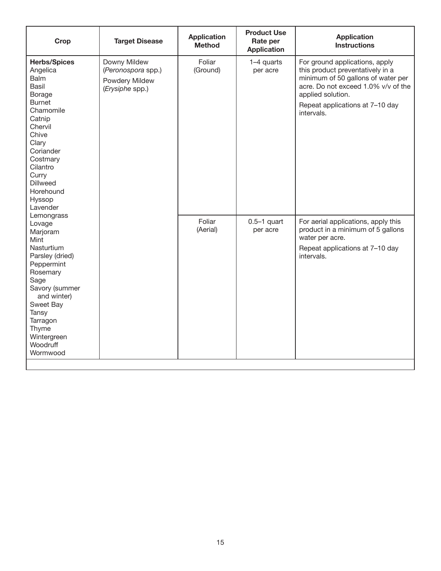| Crop                                                                                                                                                                                                                                              | <b>Target Disease</b>                                                   | <b>Application</b><br><b>Method</b> | <b>Product Use</b><br>Rate per<br><b>Application</b> | <b>Application</b><br><b>Instructions</b>                                                                                                                                                                             |
|---------------------------------------------------------------------------------------------------------------------------------------------------------------------------------------------------------------------------------------------------|-------------------------------------------------------------------------|-------------------------------------|------------------------------------------------------|-----------------------------------------------------------------------------------------------------------------------------------------------------------------------------------------------------------------------|
| <b>Herbs/Spices</b><br>Angelica<br><b>Balm</b><br><b>Basil</b><br>Borage<br><b>Burnet</b><br>Chamomile<br>Catnip<br>Chervil<br>Chive<br>Clary<br>Coriander<br>Costmary<br>Cilantro<br>Curry<br><b>Dillweed</b><br>Horehound<br>Hyssop<br>Lavender | Downy Mildew<br>(Peronospora spp.)<br>Powdery Mildew<br>(Erysiphe spp.) | Foliar<br>(Ground)                  | 1-4 quarts<br>per acre                               | For ground applications, apply<br>this product preventatively in a<br>minimum of 50 gallons of water per<br>acre. Do not exceed 1.0% v/v of the<br>applied solution.<br>Repeat applications at 7-10 day<br>intervals. |
| Lemongrass<br>Lovage<br>Marjoram<br>Mint<br>Nasturtium<br>Parsley (dried)<br>Peppermint<br>Rosemary<br>Sage<br>Savory (summer<br>and winter)<br>Sweet Bay<br>Tansy<br>Tarragon<br>Thyme<br>Wintergreen<br>Woodruff<br>Wormwood                    |                                                                         | Foliar<br>(Aerial)                  | $0.5-1$ quart<br>per acre                            | For aerial applications, apply this<br>product in a minimum of 5 gallons<br>water per acre.<br>Repeat applications at 7-10 day<br>intervals.                                                                          |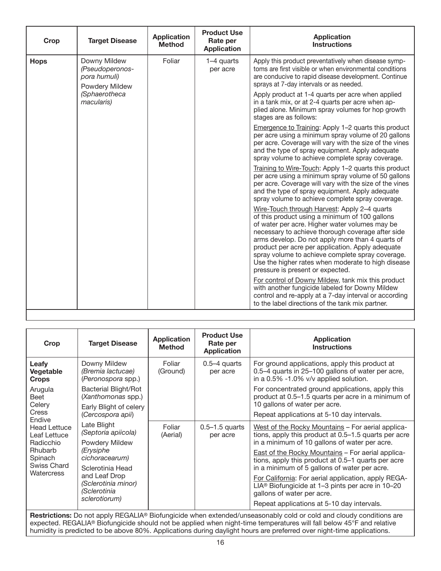| Crop        | <b>Target Disease</b>                                             | <b>Application</b><br><b>Method</b> | <b>Product Use</b><br>Rate per<br><b>Application</b> | <b>Application</b><br><b>Instructions</b>                                                                                                                                                                                                                                                                                                                                                                                                                   |
|-------------|-------------------------------------------------------------------|-------------------------------------|------------------------------------------------------|-------------------------------------------------------------------------------------------------------------------------------------------------------------------------------------------------------------------------------------------------------------------------------------------------------------------------------------------------------------------------------------------------------------------------------------------------------------|
| <b>Hops</b> | Downy Mildew<br>(Pseudoperonos-<br>pora humuli)<br>Powdery Mildew | Foliar                              | 1-4 quarts<br>per acre                               | Apply this product preventatively when disease symp-<br>toms are first visible or when environmental conditions<br>are conducive to rapid disease development. Continue<br>sprays at 7-day intervals or as needed.                                                                                                                                                                                                                                          |
|             | (Sphaerotheca<br>macularis)                                       |                                     |                                                      | Apply product at 1-4 quarts per acre when applied<br>in a tank mix, or at 2-4 quarts per acre when ap-<br>plied alone. Minimum spray volumes for hop growth<br>stages are as follows:                                                                                                                                                                                                                                                                       |
|             |                                                                   |                                     |                                                      | Emergence to Training: Apply 1-2 quarts this product<br>per acre using a minimum spray volume of 20 gallons<br>per acre. Coverage will vary with the size of the vines<br>and the type of spray equipment. Apply adequate<br>spray volume to achieve complete spray coverage.                                                                                                                                                                               |
|             |                                                                   |                                     |                                                      | Training to Wire-Touch: Apply 1-2 quarts this product<br>per acre using a minimum spray volume of 50 gallons<br>per acre. Coverage will vary with the size of the vines<br>and the type of spray equipment. Apply adequate<br>spray volume to achieve complete spray coverage.                                                                                                                                                                              |
|             |                                                                   |                                     |                                                      | Wire-Touch through Harvest: Apply 2-4 quarts<br>of this product using a minimum of 100 gallons<br>of water per acre. Higher water volumes may be<br>necessary to achieve thorough coverage after side<br>arms develop. Do not apply more than 4 quarts of<br>product per acre per application. Apply adequate<br>spray volume to achieve complete spray coverage.<br>Use the higher rates when moderate to high disease<br>pressure is present or expected. |
|             |                                                                   |                                     |                                                      | For control of Downy Mildew, tank mix this product<br>with another fungicide labeled for Downy Mildew<br>control and re-apply at a 7-day interval or according<br>to the label directions of the tank mix partner.                                                                                                                                                                                                                                          |

| Crop                                             | <b>Target Disease</b>                                                       | <b>Application</b><br><b>Method</b> | <b>Product Use</b><br>Rate per<br><b>Application</b> | <b>Application</b><br><b>Instructions</b>                                                                                                                  |
|--------------------------------------------------|-----------------------------------------------------------------------------|-------------------------------------|------------------------------------------------------|------------------------------------------------------------------------------------------------------------------------------------------------------------|
| Leafy<br>Vegetable<br><b>Crops</b>               | Downy Mildew<br>(Bremia lactucae)<br>(Peronospora spp.)                     | Foliar<br>(Ground)                  | $0.5 - 4$ quarts<br>per acre                         | For ground applications, apply this product at<br>0.5–4 quarts in 25–100 gallons of water per acre,<br>in a 0.5% -1.0% v/v applied solution.               |
| Arugula<br>Beet<br>Celery                        | <b>Bacterial Blight/Rot</b><br>(Xanthomonas spp.)<br>Early Blight of celery |                                     |                                                      | For concentrated ground applications, apply this<br>product at 0.5-1.5 quarts per acre in a minimum of<br>10 gallons of water per acre.                    |
| <b>Cress</b><br>Endive                           | (Cercospora apii)                                                           |                                     |                                                      | Repeat applications at 5-10 day intervals.                                                                                                                 |
| <b>Head Lettuce</b><br>Leaf Lettuce<br>Radicchio | Late Blight<br>(Septoria apiicola)<br>Powdery Mildew                        | Foliar<br>(Aerial)                  | $0.5 - 1.5$ quarts<br>per acre                       | West of the Rocky Mountains - For aerial applica-<br>tions, apply this product at 0.5–1.5 quarts per acre<br>in a minimum of 10 gallons of water per acre. |
| <b>Rhubarb</b><br>Spinach<br>Swiss Chard         | (Erysiphe<br>cichoracearum)<br>Sclerotinia Head                             |                                     |                                                      | East of the Rocky Mountains - For aerial applica-<br>tions, apply this product at 0.5-1 quarts per acre<br>in a minimum of 5 gallons of water per acre.    |
| Watercress                                       | and Leaf Drop<br>(Sclerotinia minor)<br>(Sclerotinia                        |                                     |                                                      | For California: For aerial application, apply REGA-<br>LIA <sup>®</sup> Biofungicide at 1-3 pints per acre in 10-20<br>gallons of water per acre.          |
|                                                  | sclerotiorum)                                                               |                                     |                                                      | Repeat applications at 5-10 day intervals.                                                                                                                 |

**Restrictions:** Do not apply REGALIA® Biofungicide when extended/unseasonably cold or cold and cloudy conditions are expected. REGALIA® Biofungicide should not be applied when night-time temperatures will fall below 45°F and relative humidity is predicted to be above 80%. Applications during daylight hours are preferred over night-time applications.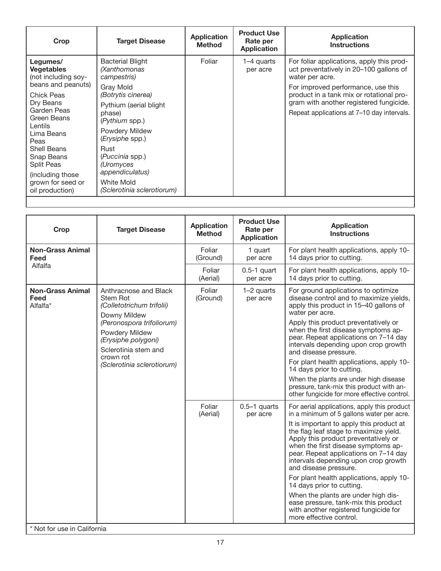| Crop                                                                                                                                                                                                 | <b>Target Disease</b>                                                                                                                                                                                                                      | <b>Application</b><br><b>Method</b> | <b>Product Use</b><br>Rate per<br><b>Application</b> | <b>Application</b><br><b>Instructions</b>                                                                                                     |
|------------------------------------------------------------------------------------------------------------------------------------------------------------------------------------------------------|--------------------------------------------------------------------------------------------------------------------------------------------------------------------------------------------------------------------------------------------|-------------------------------------|------------------------------------------------------|-----------------------------------------------------------------------------------------------------------------------------------------------|
| Legumes/<br><b>Vegetables</b><br>(not including soy-<br>beans and peanuts)                                                                                                                           | <b>Bacterial Blight</b><br>(Xanthomonas<br>campestris)<br>Gray Mold                                                                                                                                                                        | Foliar                              | 1–4 quarts<br>per acre                               | For foliar applications, apply this prod-<br>uct preventatively in 20–100 gallons of<br>water per acre.<br>For improved performance, use this |
| <b>Chick Peas</b><br>Dry Beans<br>Garden Peas<br>Green Beans<br>Lentils<br>Lima Beans<br>Peas<br>Shell Beans<br>Snap Beans<br>Split Peas<br>(including those<br>grown for seed or<br>oil production) | (Botrytis cinerea)<br>Pythium (aerial blight<br>phase)<br>(Pythium spp.)<br><b>Powdery Mildew</b><br>( <i>Erysiphe</i> spp.)<br>Rust<br>(Puccinia spp.)<br>(Uromyces<br>appendiculatus)<br><b>White Mold</b><br>(Sclerotinia sclerotiorum) |                                     |                                                      | product in a tank mix or rotational pro-<br>gram with another registered fungicide.<br>Repeat applications at 7-10 day intervals.             |

| Crop                                        | <b>Target Disease</b>                                                                                                                                                                                                          | <b>Application</b><br><b>Method</b> | <b>Product Use</b><br>Rate per<br><b>Application</b> | <b>Application</b><br><b>Instructions</b>                                                                                                                                                                                                                                                                                                                                                                                                                                                                                                                                                           |
|---------------------------------------------|--------------------------------------------------------------------------------------------------------------------------------------------------------------------------------------------------------------------------------|-------------------------------------|------------------------------------------------------|-----------------------------------------------------------------------------------------------------------------------------------------------------------------------------------------------------------------------------------------------------------------------------------------------------------------------------------------------------------------------------------------------------------------------------------------------------------------------------------------------------------------------------------------------------------------------------------------------------|
| <b>Non-Grass Animal</b><br>Feed             |                                                                                                                                                                                                                                | Foliar<br>(Ground)                  | 1 quart<br>per acre                                  | For plant health applications, apply 10-<br>14 days prior to cutting.                                                                                                                                                                                                                                                                                                                                                                                                                                                                                                                               |
| Alfalfa                                     |                                                                                                                                                                                                                                | Foliar<br>(Aerial)                  | $0.5-1$ quart<br>per acre                            | For plant health applications, apply 10-<br>14 days prior to cutting.                                                                                                                                                                                                                                                                                                                                                                                                                                                                                                                               |
| <b>Non-Grass Animal</b><br>Feed<br>Alfalfa* | Anthracnose and Black<br>Stem Rot<br>(Colletotrichum trifolii)<br>Downy Mildew<br>(Peronospora trifoliorum)<br><b>Powdery Mildew</b><br>(Erysiphe polygoni)<br>Sclerotinia stem and<br>crown rot<br>(Sclerotinia sclerotiorum) | Foliar<br>(Ground)                  | 1-2 quarts<br>per acre                               | For ground applications to optimize<br>disease control and to maximize yields,<br>apply this product in 15-40 gallons of<br>water per acre.<br>Apply this product preventatively or<br>when the first disease symptoms ap-<br>pear. Repeat applications on 7-14 day<br>intervals depending upon crop growth<br>and disease pressure.<br>For plant health applications, apply 10-<br>14 days prior to cutting.<br>When the plants are under high disease                                                                                                                                             |
|                                             |                                                                                                                                                                                                                                |                                     |                                                      | pressure, tank-mix this product with an-<br>other fungicide for more effective control.                                                                                                                                                                                                                                                                                                                                                                                                                                                                                                             |
|                                             |                                                                                                                                                                                                                                | Foliar<br>(Aerial)                  | $0.5-1$ quarts<br>per acre                           | For aerial applications, apply this product<br>in a minimum of 5 gallons water per acre.<br>It is important to apply this product at<br>the flag leaf stage to maximize yield.<br>Apply this product preventatively or<br>when the first disease symptoms ap-<br>pear. Repeat applications on 7-14 day<br>intervals depending upon crop growth<br>and disease pressure.<br>For plant health applications, apply 10-<br>14 days prior to cutting.<br>When the plants are under high dis-<br>ease pressure, tank-mix this product<br>with another registered fungicide for<br>more effective control. |

\* Not for use in California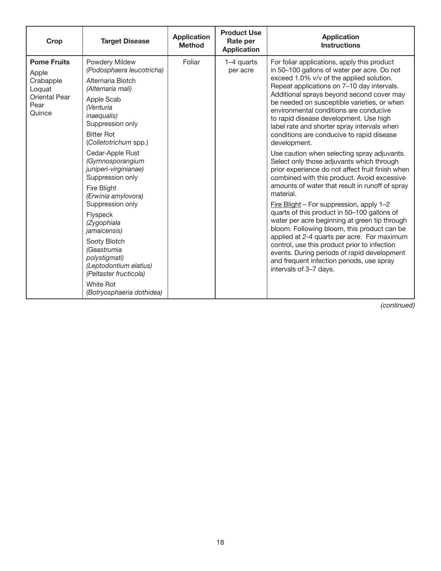| Crop                                                                                  | <b>Target Disease</b>                                                                                                                                                                                                                                                                                                                                                                                                                                                                                                                                                  | <b>Application</b><br><b>Method</b> | <b>Product Use</b><br>Rate per<br><b>Application</b> | <b>Application</b><br><b>Instructions</b>                                                                                                                                                                                                                                                                                                                                                                                                                                                                                                                                                                                                                                                                                                                                                                                                                                                                                                                                                                                                                                                                                                                       |
|---------------------------------------------------------------------------------------|------------------------------------------------------------------------------------------------------------------------------------------------------------------------------------------------------------------------------------------------------------------------------------------------------------------------------------------------------------------------------------------------------------------------------------------------------------------------------------------------------------------------------------------------------------------------|-------------------------------------|------------------------------------------------------|-----------------------------------------------------------------------------------------------------------------------------------------------------------------------------------------------------------------------------------------------------------------------------------------------------------------------------------------------------------------------------------------------------------------------------------------------------------------------------------------------------------------------------------------------------------------------------------------------------------------------------------------------------------------------------------------------------------------------------------------------------------------------------------------------------------------------------------------------------------------------------------------------------------------------------------------------------------------------------------------------------------------------------------------------------------------------------------------------------------------------------------------------------------------|
| <b>Pome Fruits</b><br>Apple<br>Crabapple<br>Loquat<br>Oriental Pear<br>Pear<br>Quince | Powdery Mildew<br>(Podosphaera leucotricha)<br>Alternaria Blotch<br>(Alternaria mali)<br>Apple Scab<br><i>Nenturia</i><br><i>inaequalis</i> )<br>Suppression only<br><b>Bitter Rot</b><br>(Colletotrichum spp.)<br>Cedar-Apple Rust<br>(Gymnosporangium<br>juniperi-virginianae)<br>Suppression only<br>Fire Blight<br>(Erwinia amylovora)<br>Suppression only<br>Flyspeck<br>(Zygophiala<br><i>jamaicensis</i> )<br>Sooty Blotch<br>(Geastrumia<br>polystigmati)<br>(Leptodontium elatius)<br>(Peltaster fructicola)<br><b>White Rot</b><br>(Botryosphaeria dothidea) | Foliar                              | 1-4 quarts<br>per acre                               | For foliar applications, apply this product<br>in 50-100 gallons of water per acre. Do not<br>exceed 1.0% v/v of the applied solution.<br>Repeat applications on 7-10 day intervals.<br>Additional sprays beyond second cover may<br>be needed on susceptible varieties, or when<br>environmental conditions are conducive<br>to rapid disease development. Use high<br>label rate and shorter spray intervals when<br>conditions are conducive to rapid disease<br>development.<br>Use caution when selecting spray adjuvants.<br>Select only those adjuvants which through<br>prior experience do not affect fruit finish when<br>combined with this product. Avoid excessive<br>amounts of water that result in runoff of spray<br>material.<br>Fire Blight - For suppression, apply 1-2<br>quarts of this product in 50-100 gallons of<br>water per acre beginning at green tip through<br>bloom. Following bloom, this product can be<br>applied at 2-4 quarts per acre. For maximum<br>control, use this product prior to infection<br>events. During periods of rapid development<br>and frequent infection periods, use spray<br>intervals of 3-7 days. |

*(continued)*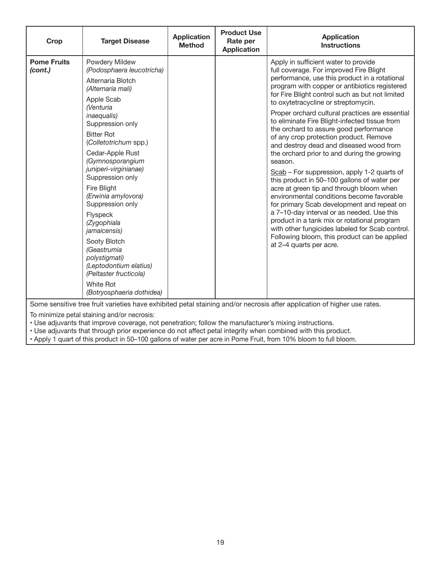| Crop                          | <b>Target Disease</b>                                                                                                                                                                                                                                                                                                                                                                                                                                                                                                             | <b>Application</b><br><b>Method</b> | <b>Product Use</b><br>Rate per<br><b>Application</b> | <b>Application</b><br><b>Instructions</b>                                                                                                                                                                                                                                                                                                                                                                                                                                                                                                                                                                                                                                                                                                                                                                                                                                                                                                                                                                                                |
|-------------------------------|-----------------------------------------------------------------------------------------------------------------------------------------------------------------------------------------------------------------------------------------------------------------------------------------------------------------------------------------------------------------------------------------------------------------------------------------------------------------------------------------------------------------------------------|-------------------------------------|------------------------------------------------------|------------------------------------------------------------------------------------------------------------------------------------------------------------------------------------------------------------------------------------------------------------------------------------------------------------------------------------------------------------------------------------------------------------------------------------------------------------------------------------------------------------------------------------------------------------------------------------------------------------------------------------------------------------------------------------------------------------------------------------------------------------------------------------------------------------------------------------------------------------------------------------------------------------------------------------------------------------------------------------------------------------------------------------------|
| <b>Pome Fruits</b><br>(cont.) | Powdery Mildew<br>(Podosphaera leucotricha)<br>Alternaria Blotch<br>(Alternaria mali)<br>Apple Scab<br><b>Nenturia</b><br><i>inaequalis</i> )<br>Suppression only<br><b>Bitter Rot</b><br>(Colletotrichum spp.)<br>Cedar-Apple Rust<br>(Gymnosporangium<br>juniperi-virginianae)<br>Suppression only<br>Fire Blight<br>(Erwinia amylovora)<br>Suppression only<br>Flyspeck<br>(Zygophiala<br>jamaicensis)<br>Sooty Blotch<br>(Geastrumia<br>polystigmati)<br>(Leptodontium elatius)<br>(Peltaster fructicola)<br><b>White Rot</b> |                                     |                                                      | Apply in sufficient water to provide<br>full coverage. For improved Fire Blight<br>performance, use this product in a rotational<br>program with copper or antibiotics registered<br>for Fire Blight control such as but not limited<br>to oxytetracycline or streptomycin.<br>Proper orchard cultural practices are essential<br>to eliminate Fire Blight-infected tissue from<br>the orchard to assure good performance<br>of any crop protection product. Remove<br>and destroy dead and diseased wood from<br>the orchard prior to and during the growing<br>season.<br>Scab - For suppression, apply 1-2 quarts of<br>this product in 50-100 gallons of water per<br>acre at green tip and through bloom when<br>environmental conditions become favorable<br>for primary Scab development and repeat on<br>a 7-10-day interval or as needed. Use this<br>product in a tank mix or rotational program<br>with other fungicides labeled for Scab control.<br>Following bloom, this product can be applied<br>at 2-4 quarts per acre. |
|                               | (Botryosphaeria dothidea)                                                                                                                                                                                                                                                                                                                                                                                                                                                                                                         |                                     |                                                      | Some sensitive tree fruit varieties have exhibited petal staining and/or necrosis after application of higher use rates.                                                                                                                                                                                                                                                                                                                                                                                                                                                                                                                                                                                                                                                                                                                                                                                                                                                                                                                 |

To minimize petal staining and/or necrosis:

• Use adjuvants that improve coverage, not penetration; follow the manufacturer's mixing instructions.

• Use adjuvants that through prior experience do not affect petal integrity when combined with this product.

• Apply 1 quart of this product in 50–100 gallons of water per acre in Pome Fruit, from 10% bloom to full bloom.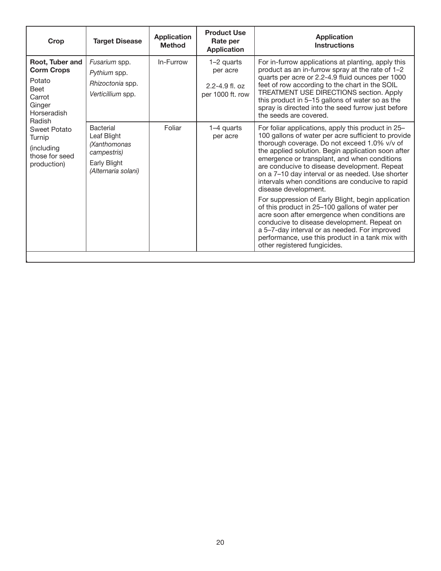| Crop                                                                                                       | <b>Target Disease</b>                                                                          | <b>Application</b><br><b>Method</b> | <b>Product Use</b><br>Rate per<br><b>Application</b>             | <b>Application</b><br><b>Instructions</b>                                                                                                                                                                                                                                                                                                                                                                                                                                                                                                                                                                                                                                                                                                                                                    |
|------------------------------------------------------------------------------------------------------------|------------------------------------------------------------------------------------------------|-------------------------------------|------------------------------------------------------------------|----------------------------------------------------------------------------------------------------------------------------------------------------------------------------------------------------------------------------------------------------------------------------------------------------------------------------------------------------------------------------------------------------------------------------------------------------------------------------------------------------------------------------------------------------------------------------------------------------------------------------------------------------------------------------------------------------------------------------------------------------------------------------------------------|
| Root, Tuber and<br><b>Corm Crops</b><br>Potato<br><b>Beet</b><br>Carrot<br>Ginger<br>Horseradish<br>Radish | Fusarium spp.<br>Pythium spp.<br>Rhizoctonia spp.<br>Verticillium spp.                         | In-Furrow                           | 1-2 quarts<br>per acre<br>$2.2 - 4.9$ fl. oz<br>per 1000 ft. row | For in-furrow applications at planting, apply this<br>product as an in-furrow spray at the rate of 1-2<br>quarts per acre or 2.2-4.9 fluid ounces per 1000<br>feet of row according to the chart in the SOIL<br>TREATMENT USE DIRECTIONS section. Apply<br>this product in 5-15 gallons of water so as the<br>spray is directed into the seed furrow just before<br>the seeds are covered.                                                                                                                                                                                                                                                                                                                                                                                                   |
| Sweet Potato<br>Turnip<br>(including<br>those for seed<br>production)                                      | Bacterial<br>Leaf Blight<br>(Xanthomonas<br>campestris)<br>Early Blight<br>(Alternaria solani) | Foliar                              | 1-4 quarts<br>per acre                                           | For foliar applications, apply this product in 25-<br>100 gallons of water per acre sufficient to provide<br>thorough coverage. Do not exceed 1.0% v/v of<br>the applied solution. Begin application soon after<br>emergence or transplant, and when conditions<br>are conducive to disease development. Repeat<br>on a 7-10 day interval or as needed. Use shorter<br>intervals when conditions are conducive to rapid<br>disease development.<br>For suppression of Early Blight, begin application<br>of this product in 25-100 gallons of water per<br>acre soon after emergence when conditions are<br>conducive to disease development. Repeat on<br>a 5-7-day interval or as needed. For improved<br>performance, use this product in a tank mix with<br>other registered fungicides. |

'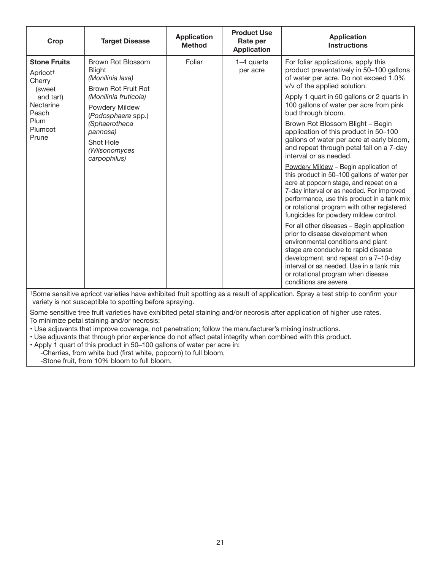| Crop                                                                                                       | <b>Target Disease</b>                                                         | <b>Application</b><br><b>Method</b>                                                                                                                                                                                                                                                                                | <b>Product Use</b><br>Rate per<br><b>Application</b>                                                                                                                                         | <b>Application</b><br><b>Instructions</b>                                                                                                                                                                                                                                                                           |
|------------------------------------------------------------------------------------------------------------|-------------------------------------------------------------------------------|--------------------------------------------------------------------------------------------------------------------------------------------------------------------------------------------------------------------------------------------------------------------------------------------------------------------|----------------------------------------------------------------------------------------------------------------------------------------------------------------------------------------------|---------------------------------------------------------------------------------------------------------------------------------------------------------------------------------------------------------------------------------------------------------------------------------------------------------------------|
| <b>Stone Fruits</b><br>Apricot <sup>+</sup><br>Cherry<br><i>(sweet)</i><br>and tart)<br>Nectarine<br>Peach | Brown Rot Blossom<br><b>Blight</b><br>(Monilinia laxa)<br>Brown Rot Fruit Rot | Foliar                                                                                                                                                                                                                                                                                                             | 1-4 quarts<br>per acre                                                                                                                                                                       | For foliar applications, apply this<br>product preventatively in 50-100 gallons<br>of water per acre. Do not exceed 1.0%<br>v/v of the applied solution.                                                                                                                                                            |
|                                                                                                            | (Monilinia fruticola)<br>Powdery Mildew<br>(Podosphaera spp.)                 |                                                                                                                                                                                                                                                                                                                    |                                                                                                                                                                                              | Apply 1 quart in 50 gallons or 2 quarts in<br>100 gallons of water per acre from pink<br>bud through bloom.                                                                                                                                                                                                         |
| Plum<br>Plumcot<br>Prune                                                                                   | (Sphaerotheca<br>pannosa)<br>Shot Hole<br>(Wilsonomyces<br>carpophilus)       |                                                                                                                                                                                                                                                                                                                    | Brown Rot Blossom Blight - Begin<br>application of this product in 50-100<br>gallons of water per acre at early bloom,<br>and repeat through petal fall on a 7-day<br>interval or as needed. |                                                                                                                                                                                                                                                                                                                     |
|                                                                                                            |                                                                               |                                                                                                                                                                                                                                                                                                                    |                                                                                                                                                                                              | Powdery Mildew - Begin application of<br>this product in 50-100 gallons of water per<br>acre at popcorn stage, and repeat on a<br>7-day interval or as needed. For improved<br>performance, use this product in a tank mix<br>or rotational program with other registered<br>fungicides for powdery mildew control. |
|                                                                                                            |                                                                               | For all other diseases - Begin application<br>prior to disease development when<br>environmental conditions and plant<br>stage are conducive to rapid disease<br>development, and repeat on a 7-10-day<br>interval or as needed. Use in a tank mix<br>or rotational program when disease<br>conditions are severe. |                                                                                                                                                                                              |                                                                                                                                                                                                                                                                                                                     |

†Some sensitive apricot varieties have exhibited fruit spotting as a result of application. Spray a test strip to confirm your variety is not susceptible to spotting before spraying.

Some sensitive tree fruit varieties have exhibited petal staining and/or necrosis after application of higher use rates. To minimize petal staining and/or necrosis:

• Use adjuvants that improve coverage, not penetration; follow the manufacturer's mixing instructions.

• Use adjuvants that through prior experience do not affect petal integrity when combined with this product.

• Apply 1 quart of this product in 50–100 gallons of water per acre in:

-Cherries, from white bud (first white, popcorn) to full bloom,

-Stone fruit, from 10% bloom to full bloom.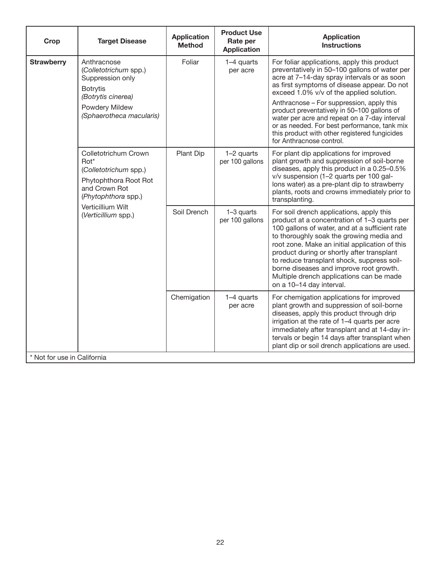| Crop                                 | <b>Target Disease</b>                                                                                                               | <b>Application</b><br><b>Method</b> | <b>Product Use</b><br>Rate per<br><b>Application</b> | <b>Application</b><br><b>Instructions</b>                                                                                                                                                                                                                                                                                                                                                                                                                                                                        |
|--------------------------------------|-------------------------------------------------------------------------------------------------------------------------------------|-------------------------------------|------------------------------------------------------|------------------------------------------------------------------------------------------------------------------------------------------------------------------------------------------------------------------------------------------------------------------------------------------------------------------------------------------------------------------------------------------------------------------------------------------------------------------------------------------------------------------|
| <b>Strawberry</b><br><b>Botrytis</b> | Anthracnose<br>(Colletotrichum spp.)<br>Suppression only<br>(Botrytis cinerea)<br><b>Powdery Mildew</b><br>(Sphaerotheca macularis) | Foliar                              | 1-4 quarts<br>per acre<br>1-2 quarts                 | For foliar applications, apply this product<br>preventatively in 50-100 gallons of water per<br>acre at 7-14-day spray intervals or as soon<br>as first symptoms of disease appear. Do not<br>exceed 1.0% v/v of the applied solution.<br>Anthracnose - For suppression, apply this<br>product preventatively in 50-100 gallons of<br>water per acre and repeat on a 7-day interval<br>or as needed. For best performance, tank mix<br>this product with other registered fungicides<br>for Anthracnose control. |
| $Rot*$                               | Colletotrichum Crown<br>(Colletotrichum spp.)<br>Phytophthora Root Rot<br>and Crown Rot<br>(Phytophthora spp.)                      | Plant Dip                           | per 100 gallons                                      | For plant dip applications for improved<br>plant growth and suppression of soil-borne<br>diseases, apply this product in a 0.25-0.5%<br>v/v suspension (1-2 quarts per 100 gal-<br>lons water) as a pre-plant dip to strawberry<br>plants, roots and crowns immediately prior to<br>transplanting.                                                                                                                                                                                                               |
|                                      | Verticillium Wilt<br>(Verticillium spp.)                                                                                            | Soil Drench                         | 1-3 quarts<br>per 100 gallons                        | For soil drench applications, apply this<br>product at a concentration of 1-3 quarts per<br>100 gallons of water, and at a sufficient rate<br>to thoroughly soak the growing media and<br>root zone. Make an initial application of this<br>product during or shortly after transplant<br>to reduce transplant shock, suppress soil-<br>borne diseases and improve root growth.<br>Multiple drench applications can be made<br>on a 10-14 day interval.                                                          |
| * Not for use in California          |                                                                                                                                     | Chemigation                         | 1-4 quarts<br>per acre                               | For chemigation applications for improved<br>plant growth and suppression of soil-borne<br>diseases, apply this product through drip<br>irrigation at the rate of 1-4 quarts per acre<br>immediately after transplant and at 14-day in-<br>tervals or begin 14 days after transplant when<br>plant dip or soil drench applications are used.                                                                                                                                                                     |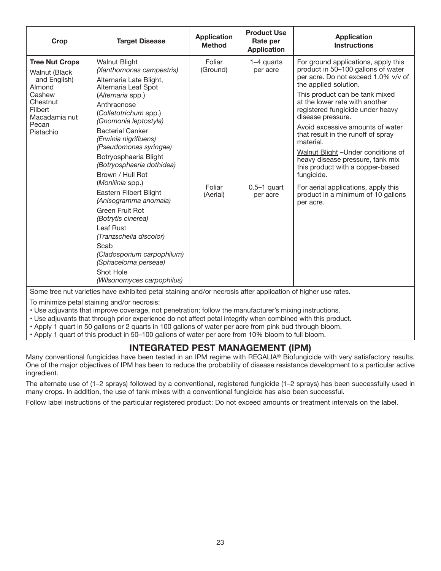| <b>Crop</b>                                                                                                                                     | <b>Target Disease</b>                                                                                                                                                                                                                                                                                                                             | <b>Application</b><br><b>Method</b> | <b>Product Use</b><br>Rate per<br><b>Application</b> | <b>Application</b><br><b>Instructions</b>                                                                                                                                                                                                                                                                                                                                                                                                                                                  |
|-------------------------------------------------------------------------------------------------------------------------------------------------|---------------------------------------------------------------------------------------------------------------------------------------------------------------------------------------------------------------------------------------------------------------------------------------------------------------------------------------------------|-------------------------------------|------------------------------------------------------|--------------------------------------------------------------------------------------------------------------------------------------------------------------------------------------------------------------------------------------------------------------------------------------------------------------------------------------------------------------------------------------------------------------------------------------------------------------------------------------------|
| <b>Tree Nut Crops</b><br><b>Walnut (Black</b><br>and English)<br>Almond<br>Cashew<br>Chestnut<br>Filbert<br>Macadamia nut<br>Pecan<br>Pistachio | <b>Walnut Blight</b><br>(Xanthomonas campestris)<br>Alternaria Late Blight,<br>Alternaria Leaf Spot<br>(Alternaria spp.)<br>Anthracnose<br>(Colletotrichum spp.)<br>(Gnomonia leptostyla)<br><b>Bacterial Canker</b><br>(Erwinia nigrifluens)<br>(Pseudomonas syringae)<br>Botryosphaeria Blight<br>(Botryosphaeria dothidea)<br>Brown / Hull Rot | Foliar<br>(Ground)                  | 1-4 quarts<br>per acre                               | For ground applications, apply this<br>product in 50-100 gallons of water<br>per acre. Do not exceed 1.0% v/v of<br>the applied solution.<br>This product can be tank mixed<br>at the lower rate with another<br>registered fungicide under heavy<br>disease pressure.<br>Avoid excessive amounts of water<br>that result in the runoff of spray<br>material.<br>Walnut Blight - Under conditions of<br>heavy disease pressure, tank mix<br>this product with a copper-based<br>fungicide. |
|                                                                                                                                                 | (Monilinia spp.)<br>Eastern Filbert Blight<br>(Anisogramma anomala)<br>Green Fruit Rot<br>(Botrytis cinerea)<br>Leaf Rust<br>(Tranzschelia discolor)<br>Scab<br>(Cladosporium carpophilum)<br>(Sphaceloma perseae)<br>Shot Hole<br>(Wilsonomyces carpophilus)                                                                                     | Foliar<br>(Aerial)                  | $0.5-1$ quart<br>per acre                            | For aerial applications, apply this<br>product in a minimum of 10 gallons<br>per acre.                                                                                                                                                                                                                                                                                                                                                                                                     |

Some tree nut varieties have exhibited petal staining and/or necrosis after application of higher use rates.

To minimize petal staining and/or necrosis:

• Use adjuvants that improve coverage, not penetration; follow the manufacturer's mixing instructions.

• Use adjuvants that through prior experience do not affect petal integrity when combined with this product.

• Apply 1 quart in 50 gallons or 2 quarts in 100 gallons of water per acre from pink bud through bloom.

• Apply 1 quart of this product in 50–100 gallons of water per acre from 10% bloom to full bloom.

## **INTEGRATED PEST MANAGEMENT (IPM)**

Many conventional fungicides have been tested in an IPM regime with REGALIA® Biofungicide with very satisfactory results. One of the major objectives of IPM has been to reduce the probability of disease resistance development to a particular active ingredient.

The alternate use of (1–2 sprays) followed by a conventional, registered fungicide (1–2 sprays) has been successfully used in many crops. In addition, the use of tank mixes with a conventional fungicide has also been successful.

Follow label instructions of the particular registered product: Do not exceed amounts or treatment intervals on the label.